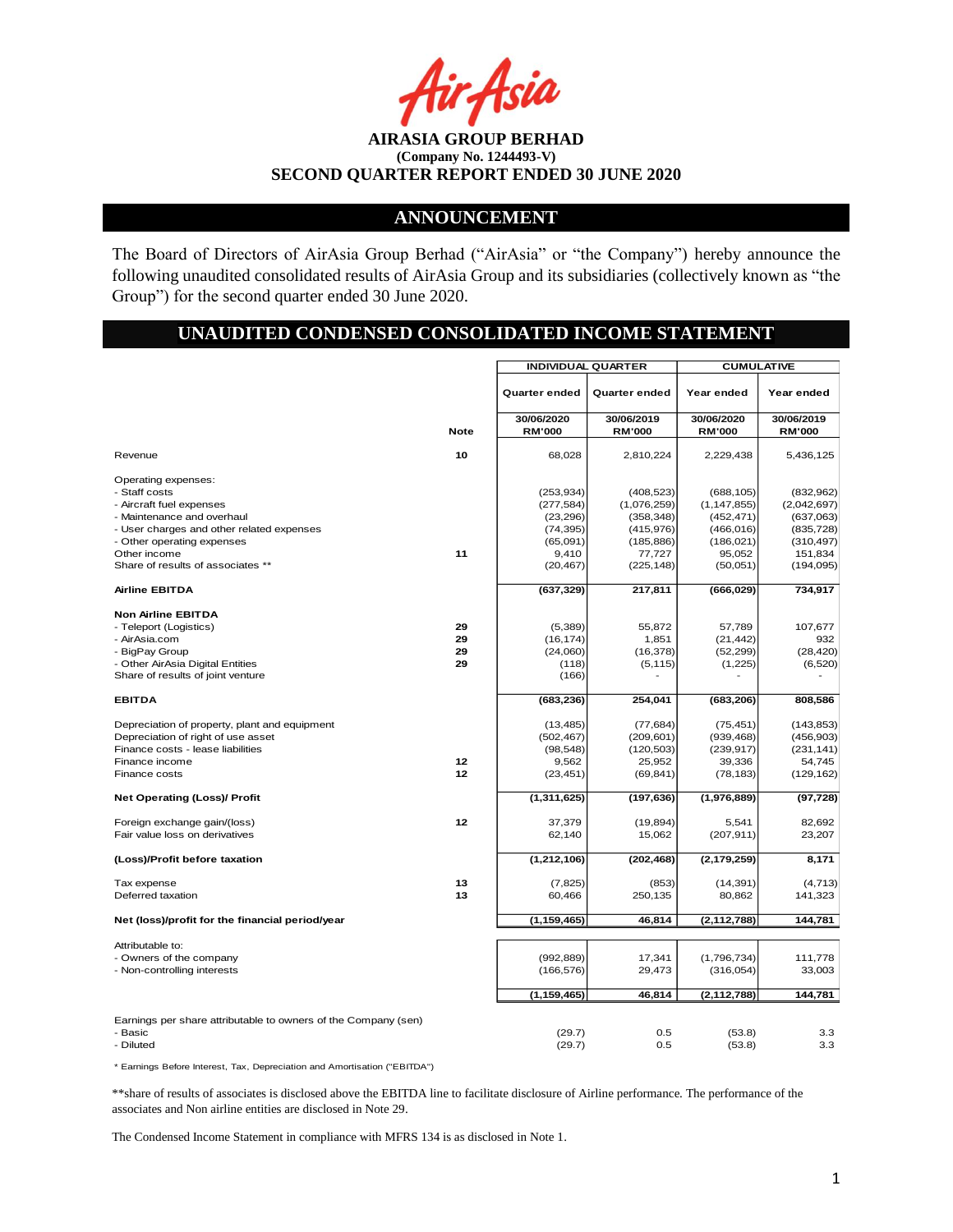## **ANNOUNCEMENT**

The Board of Directors of AirAsia Group Berhad ("AirAsia" or "the Company") hereby announce the following unaudited consolidated results of AirAsia Group and its subsidiaries (collectively known as "the Group") for the second quarter ended 30 June 2020.

# **UNAUDITED CONDENSED CONSOLIDATED INCOME STATEMENT**

|                                                                |             | <b>INDIVIDUAL QUARTER</b> |                           | <b>CUMULATIVE</b>           |                          |  |
|----------------------------------------------------------------|-------------|---------------------------|---------------------------|-----------------------------|--------------------------|--|
|                                                                |             | <b>Quarter ended</b>      | Quarter ended             | Year ended                  | Year ended               |  |
|                                                                |             | 30/06/2020                | 30/06/2019                | 30/06/2020                  | 30/06/2019               |  |
|                                                                | <b>Note</b> | <b>RM'000</b>             | <b>RM'000</b>             | <b>RM'000</b>               | <b>RM'000</b>            |  |
| Revenue                                                        | 10          | 68,028                    | 2,810,224                 | 2,229,438                   | 5,436,125                |  |
| Operating expenses:                                            |             |                           |                           |                             |                          |  |
| - Staff costs                                                  |             | (253, 934)                | (408, 523)                | (688, 105)                  | (832,962)                |  |
| - Aircraft fuel expenses<br>- Maintenance and overhaul         |             | (277, 584)<br>(23, 296)   | (1,076,259)<br>(358, 348) | (1, 147, 855)<br>(452, 471) | (2,042,697)<br>(637,063) |  |
| - User charges and other related expenses                      |             | (74, 395)                 | (415, 976)                | (466, 016)                  | (835, 728)               |  |
| - Other operating expenses                                     |             | (65,091)                  | (185, 886)                | (186, 021)                  | (310, 497)               |  |
| Other income                                                   | 11          | 9,410                     | 77,727                    | 95,052                      | 151,834                  |  |
| Share of results of associates **                              |             | (20, 467)                 | (225, 148)                | (50,051)                    | (194, 095)               |  |
|                                                                |             |                           |                           |                             |                          |  |
| <b>Airline EBITDA</b>                                          |             | (637, 329)                | 217,811                   | (666, 029)                  | 734,917                  |  |
| <b>Non Airline EBITDA</b>                                      |             |                           |                           |                             |                          |  |
| - Teleport (Logistics)                                         | 29          | (5,389)                   | 55,872                    | 57,789                      | 107,677                  |  |
| - AirAsia.com                                                  | 29          | (16, 174)                 | 1,851                     | (21, 442)                   | 932                      |  |
| - BigPay Group                                                 | 29          | (24,060)                  | (16, 378)                 | (52, 299)                   | (28, 420)                |  |
| - Other AirAsia Digital Entities                               | 29          | (118)                     | (5, 115)                  | (1,225)                     | (6,520)                  |  |
| Share of results of joint venture                              |             | (166)                     |                           |                             |                          |  |
| <b>EBITDA</b>                                                  |             | (683, 236)                | 254,041                   | (683, 206)                  | 808,586                  |  |
| Depreciation of property, plant and equipment                  |             | (13, 485)                 | (77,684)                  | (75, 451)                   | (143, 853)               |  |
| Depreciation of right of use asset                             |             | (502, 467)                | (209, 601)                | (939, 468)                  | (456, 903)               |  |
| Finance costs - lease liabilities                              |             | (98, 548)                 | (120, 503)                | (239, 917)                  | (231, 141)               |  |
| Finance income                                                 | 12          | 9,562                     | 25,952                    | 39,336                      | 54,745                   |  |
| Finance costs                                                  | 12          | (23, 451)                 | (69, 841)                 | (78, 183)                   | (129, 162)               |  |
| <b>Net Operating (Loss)/ Profit</b>                            |             | (1, 311, 625)             | (197, 636)                | (1,976,889)                 | (97, 728)                |  |
| Foreign exchange gain/(loss)                                   | 12          | 37,379                    | (19, 894)                 | 5.541                       | 82.692                   |  |
| Fair value loss on derivatives                                 |             | 62,140                    | 15,062                    | (207, 911)                  | 23,207                   |  |
| (Loss)/Profit before taxation                                  |             | (1, 212, 106)             | (202, 468)                | (2, 179, 259)               | 8,171                    |  |
| Tax expense                                                    | 13          | (7, 825)                  | (853)                     | (14, 391)                   | (4, 713)                 |  |
| Deferred taxation                                              | 13          | 60,466                    | 250,135                   | 80,862                      | 141,323                  |  |
| Net (loss)/profit for the financial period/year                |             | (1, 159, 465)             | 46,814                    | (2, 112, 788)               | 144,781                  |  |
| Attributable to:                                               |             |                           |                           |                             |                          |  |
| - Owners of the company                                        |             | (992, 889)                | 17,341                    | (1,796,734)                 | 111,778                  |  |
| - Non-controlling interests                                    |             | (166, 576)                | 29,473                    | (316, 054)                  | 33,003                   |  |
|                                                                |             |                           |                           |                             |                          |  |
|                                                                |             | (1, 159, 465)             | 46,814                    | (2, 112, 788)               | 144,781                  |  |
| Earnings per share attributable to owners of the Company (sen) |             |                           |                           |                             |                          |  |
| - Basic                                                        |             | (29.7)                    | 0.5                       | (53.8)                      | 3.3                      |  |
| - Diluted                                                      |             | (29.7)                    | 0.5                       | (53.8)                      | 3.3                      |  |
|                                                                |             |                           |                           |                             |                          |  |

\* Earnings Before Interest, Tax, Depreciation and Amortisation ("EBITDA")

\*\*share of results of associates is disclosed above the EBITDA line to facilitate disclosure of Airline performance. The performance of the associates and Non airline entities are disclosed in Note 29.

The Condensed Income Statement in compliance with MFRS 134 is as disclosed in Note 1.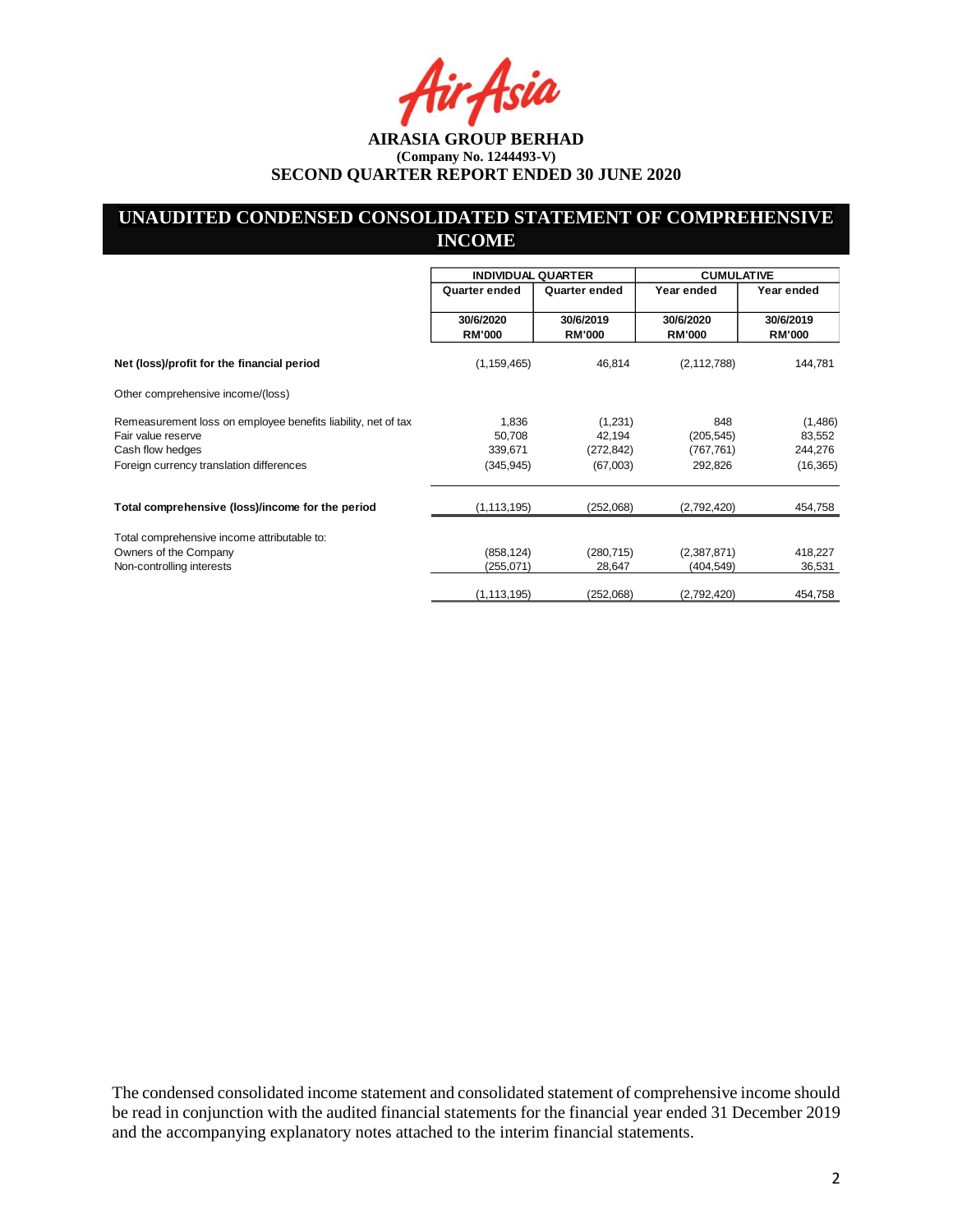# **UNAUDITED CONDENSED CONSOLIDATED STATEMENT OF COMPREHENSIVE INCOME**

|                                                                                                                                                                                                                                                                                                             | <b>INDIVIDUAL QUARTER</b>  |                                 | <b>CUMULATIVE</b>               |                              |  |
|-------------------------------------------------------------------------------------------------------------------------------------------------------------------------------------------------------------------------------------------------------------------------------------------------------------|----------------------------|---------------------------------|---------------------------------|------------------------------|--|
|                                                                                                                                                                                                                                                                                                             | Quarter ended              | Quarter ended                   | Year ended                      | Year ended                   |  |
|                                                                                                                                                                                                                                                                                                             | 30/6/2020<br><b>RM'000</b> | 30/6/2019<br><b>RM'000</b>      | 30/6/2020<br><b>RM'000</b>      | 30/6/2019<br><b>RM'000</b>   |  |
| Net (loss)/profit for the financial period                                                                                                                                                                                                                                                                  | (1, 159, 465)              | 46,814                          | (2, 112, 788)                   | 144,781                      |  |
| Other comprehensive income/(loss)                                                                                                                                                                                                                                                                           |                            |                                 |                                 |                              |  |
| Remeasurement loss on employee benefits liability, net of tax<br>Fair value reserve<br>Cash flow hedges                                                                                                                                                                                                     | 1,836<br>50,708<br>339,671 | (1,231)<br>42,194<br>(272, 842) | 848<br>(205, 545)<br>(767, 761) | (1,486)<br>83,552<br>244,276 |  |
| Foreign currency translation differences                                                                                                                                                                                                                                                                    | (345, 945)                 | (67,003)                        | 292,826                         | (16, 365)                    |  |
| Total comprehensive (loss)/income for the period                                                                                                                                                                                                                                                            | (1, 113, 195)              | (252,068)                       | (2,792,420)                     | 454,758                      |  |
| Total comprehensive income attributable to:<br>Owners of the Company<br>Non-controlling interests                                                                                                                                                                                                           | (858, 124)<br>(255,071)    | (280, 715)<br>28,647            | (2,387,871)<br>(404, 549)       | 418,227<br>36,531            |  |
|                                                                                                                                                                                                                                                                                                             | (1, 113, 195)              | (252,068)                       | (2,792,420)                     | 454,758                      |  |
|                                                                                                                                                                                                                                                                                                             |                            |                                 |                                 |                              |  |
| The condensed consolidated income statement and consolidated statement of comprehensive income should<br>be read in conjunction with the audited financial statements for the financial year ended 31 December 2019<br>and the accompanying explanatory notes attached to the interim financial statements. |                            |                                 |                                 |                              |  |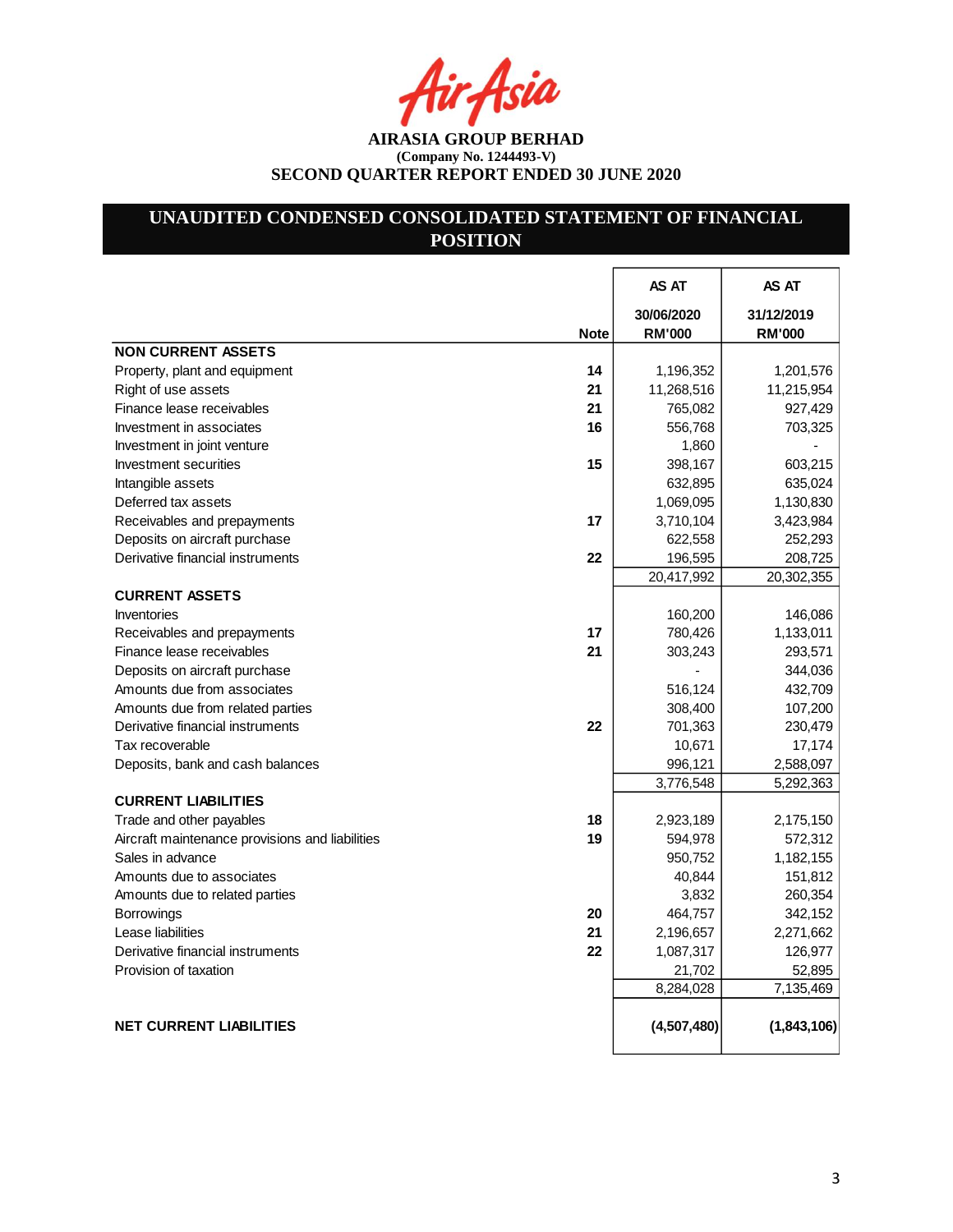Asia

# **UNAUDITED CONDENSED CONSOLIDATED STATEMENT OF FINANCIAL POSITION**

|                                                       | AS AT         | AS AT         |
|-------------------------------------------------------|---------------|---------------|
|                                                       | 30/06/2020    | 31/12/2019    |
| <b>Note</b>                                           | <b>RM'000</b> | <b>RM'000</b> |
| <b>NON CURRENT ASSETS</b>                             |               |               |
| Property, plant and equipment<br>14                   | 1,196,352     | 1,201,576     |
| Right of use assets<br>21                             | 11,268,516    | 11,215,954    |
| Finance lease receivables<br>21                       | 765,082       | 927,429       |
| Investment in associates<br>16                        | 556,768       | 703,325       |
| Investment in joint venture                           | 1,860         |               |
| 15<br>Investment securities                           | 398,167       | 603,215       |
| Intangible assets                                     | 632,895       | 635,024       |
| Deferred tax assets                                   | 1,069,095     | 1,130,830     |
| 17<br>Receivables and prepayments                     | 3,710,104     | 3,423,984     |
| Deposits on aircraft purchase                         | 622,558       | 252,293       |
| Derivative financial instruments<br>22                | 196,595       | 208,725       |
|                                                       | 20,417,992    | 20,302,355    |
| <b>CURRENT ASSETS</b>                                 |               |               |
| <b>Inventories</b>                                    | 160,200       | 146,086       |
| 17<br>Receivables and prepayments                     | 780,426       | 1,133,011     |
| Finance lease receivables<br>21                       | 303,243       | 293,571       |
| Deposits on aircraft purchase                         |               | 344,036       |
| Amounts due from associates                           | 516,124       | 432,709       |
| Amounts due from related parties                      | 308,400       | 107,200       |
| Derivative financial instruments<br>22                | 701,363       | 230,479       |
| Tax recoverable                                       | 10,671        | 17,174        |
| Deposits, bank and cash balances                      | 996,121       | 2,588,097     |
|                                                       | 3,776,548     | 5,292,363     |
| <b>CURRENT LIABILITIES</b>                            |               |               |
| 18<br>Trade and other payables                        | 2,923,189     | 2,175,150     |
| 19<br>Aircraft maintenance provisions and liabilities | 594,978       | 572,312       |
| Sales in advance                                      | 950,752       | 1,182,155     |
| Amounts due to associates                             | 40,844        | 151,812       |
| Amounts due to related parties                        | 3,832         | 260,354       |
| Borrowings<br>20                                      | 464,757       | 342,152       |
| Lease liabilities<br>21                               | 2,196,657     | 2,271,662     |
| Derivative financial instruments<br>22                | 1,087,317     | 126,977       |
| Provision of taxation                                 | 21,702        | 52,895        |
|                                                       | 8,284,028     | 7,135,469     |
|                                                       |               |               |
| <b>NET CURRENT LIABILITIES</b>                        | (4,507,480)   | (1,843,106)   |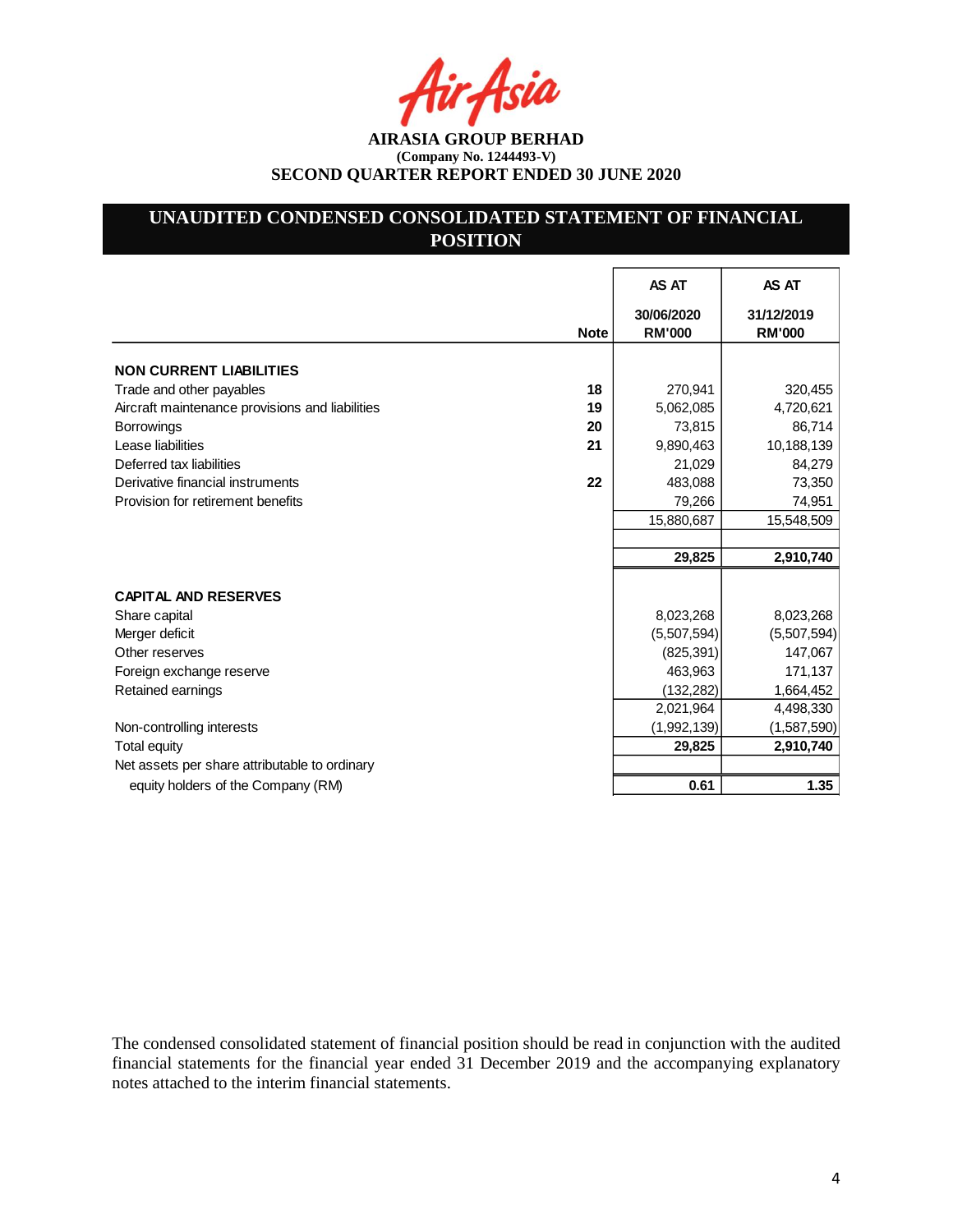# **UNAUDITED CONDENSED CONSOLIDATED STATEMENT OF FINANCIAL POSITION**

|                                                 |             | AS AT                       | AS AT                       |
|-------------------------------------------------|-------------|-----------------------------|-----------------------------|
|                                                 | <b>Note</b> | 30/06/2020<br><b>RM'000</b> | 31/12/2019<br><b>RM'000</b> |
| <b>NON CURRENT LIABILITIES</b>                  |             |                             |                             |
| Trade and other payables                        | 18          | 270,941                     | 320,455                     |
| Aircraft maintenance provisions and liabilities | 19          | 5,062,085                   | 4,720,621                   |
| <b>Borrowings</b>                               | 20          | 73,815                      | 86,714                      |
| Lease liabilities                               | 21          | 9,890,463                   | 10,188,139                  |
| Deferred tax liabilities                        |             | 21,029                      | 84,279                      |
| Derivative financial instruments                | 22          | 483,088                     | 73,350                      |
| Provision for retirement benefits               |             | 79,266                      | 74,951                      |
|                                                 |             | 15,880,687                  | 15,548,509                  |
|                                                 |             |                             |                             |
|                                                 |             | 29,825                      | 2,910,740                   |
|                                                 |             |                             |                             |
| <b>CAPITAL AND RESERVES</b>                     |             |                             |                             |
| Share capital                                   |             | 8,023,268                   | 8,023,268                   |
| Merger deficit                                  |             | (5,507,594)                 | (5,507,594)                 |
| Other reserves                                  |             | (825, 391)                  | 147,067                     |
| Foreign exchange reserve                        |             | 463,963                     | 171,137                     |
| Retained earnings                               |             | (132, 282)                  | 1,664,452                   |
|                                                 |             | 2,021,964                   | 4,498,330                   |
| Non-controlling interests                       |             | (1,992,139)                 | (1,587,590)                 |
| Total equity                                    |             | 29,825                      | 2,910,740                   |
| Net assets per share attributable to ordinary   |             |                             |                             |
| equity holders of the Company (RM)              |             | 0.61                        | 1.35                        |

The condensed consolidated statement of financial position should be read in conjunction with the audited financial statements for the financial year ended 31 December 2019 and the accompanying explanatory notes attached to the interim financial statements.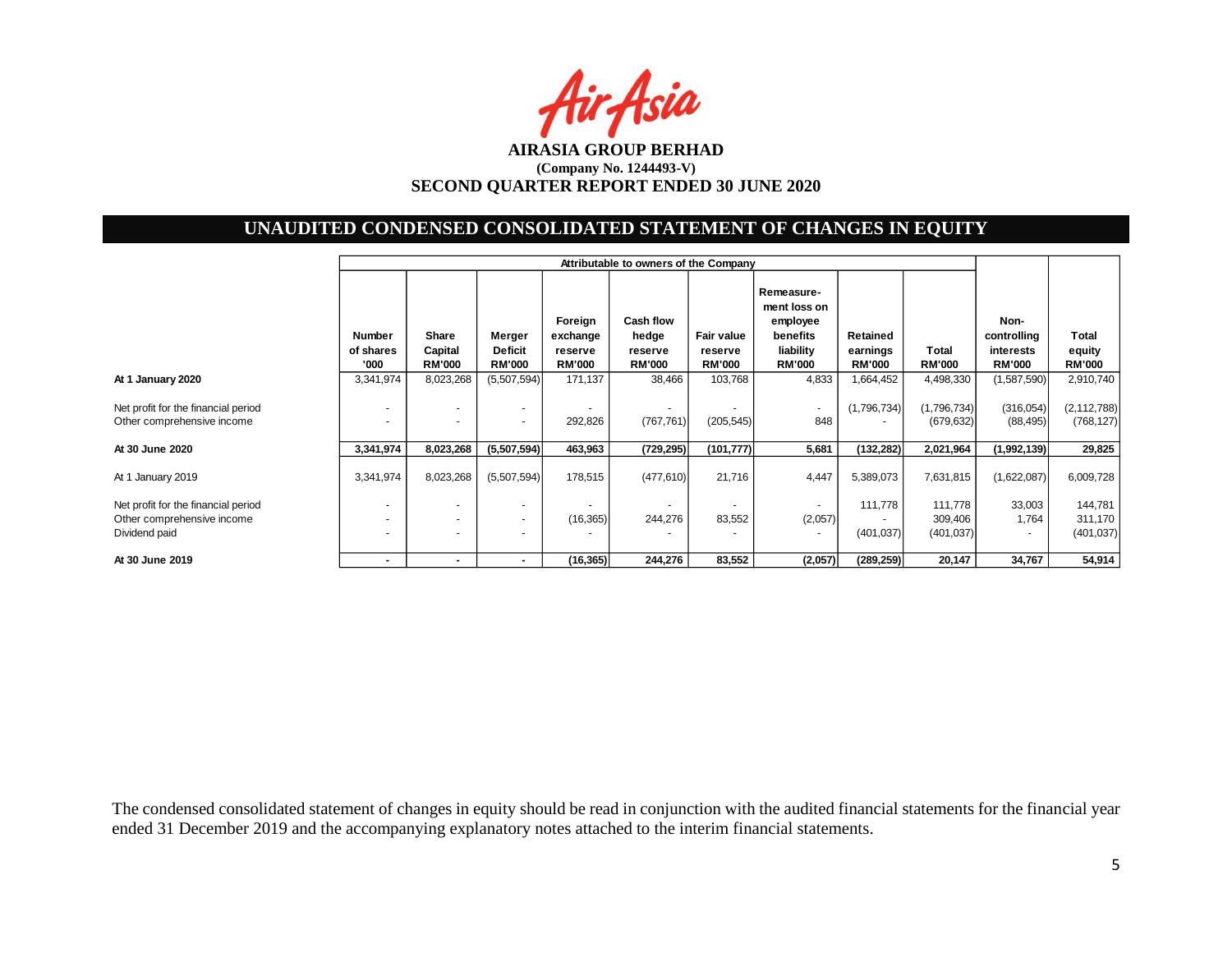Air Asia

# **UNAUDITED CONDENSED CONSOLIDATED STATEMENT OF CHANGES IN EQUITY**

|                                                                                    | Attributable to owners of the Company |                            |                                                              |                                |                                        |                          |                                                                 |                            |                                  |                                             |                                  |
|------------------------------------------------------------------------------------|---------------------------------------|----------------------------|--------------------------------------------------------------|--------------------------------|----------------------------------------|--------------------------|-----------------------------------------------------------------|----------------------------|----------------------------------|---------------------------------------------|----------------------------------|
|                                                                                    | Number<br>of shares<br>'000           | Share<br>Capital           | Merger<br><b>Deficit</b><br><b>RM'000</b>                    | Foreign<br>exchange<br>reserve | Cash flow<br>hedge<br>reserve          | Fair value<br>reserve    | Remeasure-<br>ment loss on<br>employee<br>benefits<br>liability | Retained<br>earnings       | Total<br><b>RM'000</b>           | Non-<br>controlling<br>interests            | Total<br>equity                  |
| At 1 January 2020                                                                  | 3,341,974                             | <b>RM'000</b><br>8,023,268 | (5,507,594)                                                  | <b>RM'000</b><br>171,137       | <b>RM'000</b><br>38,466                | <b>RM'000</b><br>103,768 | <b>RM'000</b><br>4,833                                          | <b>RM'000</b><br>1,664,452 | 4,498,330                        | <b>RM'000</b><br>(1,587,590)                | <b>RM'000</b><br>2,910,740       |
| Net profit for the financial period<br>Other comprehensive income                  |                                       |                            | $\overline{\phantom{a}}$                                     | 292,826                        | $\overline{\phantom{a}}$<br>(767, 761) | (205, 545)               | ٠<br>848                                                        | (1,796,734)                | (1,796,734)<br>(679, 632)        | (316, 054)<br>(88, 495)                     | (2, 112, 788)<br>(768, 127)      |
| At 30 June 2020                                                                    | 3,341,974                             | 8,023,268                  | (5,507,594)                                                  | 463,963                        | (729, 295)                             | (101, 777)               | 5,681                                                           | (132, 282)                 | 2,021,964                        | (1,992,139)                                 | 29,825                           |
| At 1 January 2019                                                                  | 3,341,974                             | 8,023,268                  | (5,507,594)                                                  | 178,515                        | (477, 610)                             | 21,716                   | 4,447                                                           | 5,389,073                  | 7,631,815                        | (1,622,087)                                 | 6,009,728                        |
| Net profit for the financial period<br>Other comprehensive income<br>Dividend paid | $\overline{a}$                        | $\overline{\phantom{a}}$   | $\overline{a}$<br>$\overline{\phantom{a}}$<br>$\overline{a}$ | (16, 365)                      | $\overline{\phantom{a}}$<br>244,276    | 83,552                   | (2,057)<br>٠                                                    | 111,778<br>(401, 037)      | 111,778<br>309,406<br>(401, 037) | 33,003<br>1,764<br>$\overline{\phantom{a}}$ | 144,781<br>311,170<br>(401, 037) |
| At 30 June 2019                                                                    |                                       | $\sim$                     | $\blacksquare$                                               | (16, 365)                      | 244,276                                | 83,552                   | (2,057)                                                         | (289, 259)                 | 20,147                           | 34,767                                      | 54,914                           |

The condensed consolidated statement of changes in equity should be read in conjunction with the audited financial statements for the financial year ended 31 December 2019 and the accompanying explanatory notes attached to the interim financial statements.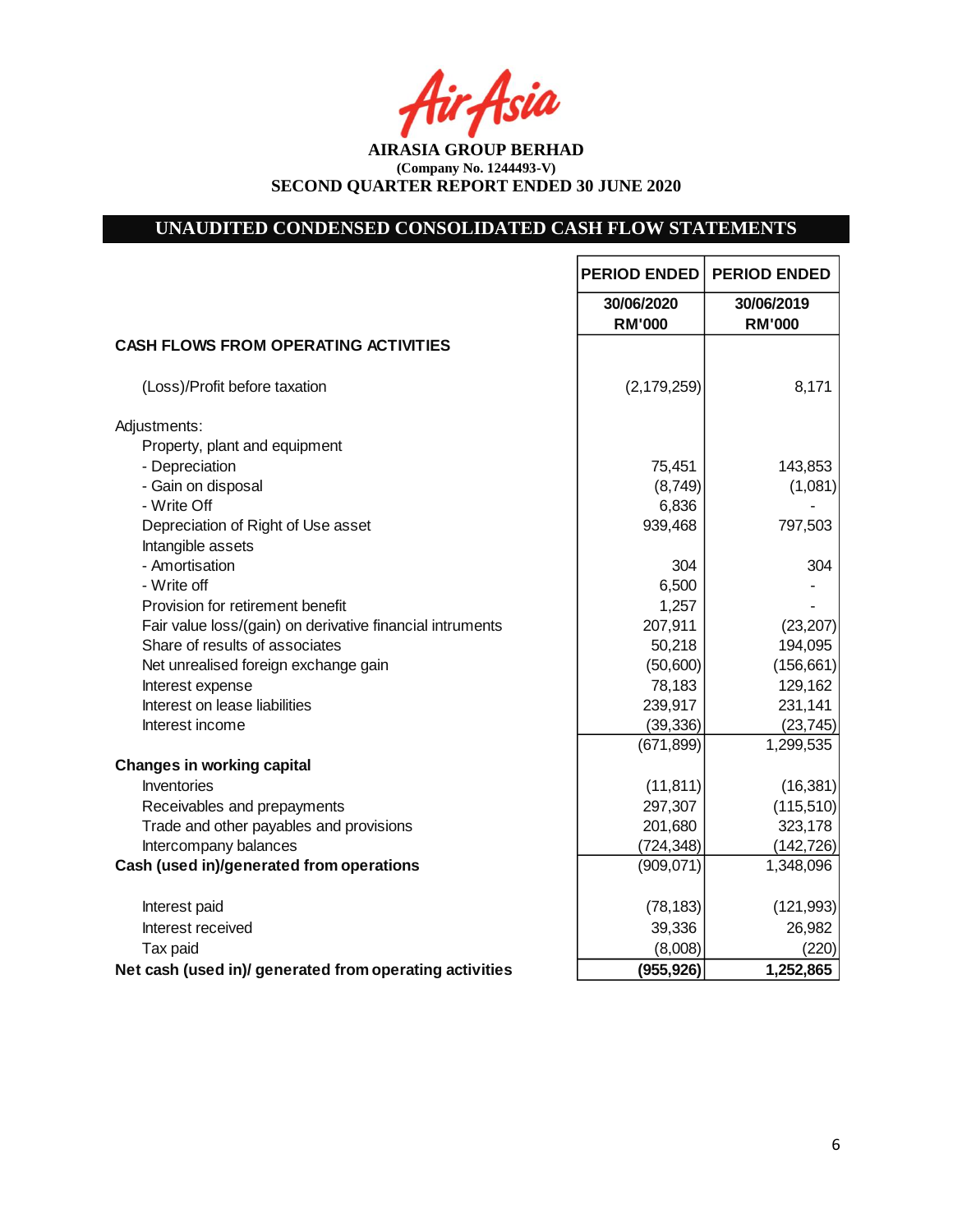tir Asia

**AIRASIA GROUP BERHAD (Company No. 1244493-V) SECOND QUARTER REPORT ENDED 30 JUNE 2020**

# **UNAUDITED CONDENSED CONSOLIDATED CASH FLOW STATEMENTS**

|                                                           | <b>PERIOD ENDED</b>         | <b>PERIOD ENDED</b>         |
|-----------------------------------------------------------|-----------------------------|-----------------------------|
|                                                           | 30/06/2020<br><b>RM'000</b> | 30/06/2019<br><b>RM'000</b> |
| <b>CASH FLOWS FROM OPERATING ACTIVITIES</b>               |                             |                             |
| (Loss)/Profit before taxation                             | (2, 179, 259)               | 8,171                       |
| Adjustments:                                              |                             |                             |
| Property, plant and equipment                             |                             |                             |
| - Depreciation                                            | 75,451                      | 143,853                     |
| - Gain on disposal                                        | (8,749)                     | (1,081)                     |
| - Write Off                                               | 6,836                       |                             |
| Depreciation of Right of Use asset                        | 939,468                     | 797,503                     |
| Intangible assets                                         |                             |                             |
| - Amortisation                                            | 304                         | 304                         |
| - Write off                                               | 6,500                       |                             |
| Provision for retirement benefit                          | 1,257                       |                             |
| Fair value loss/(gain) on derivative financial intruments | 207,911                     | (23, 207)                   |
| Share of results of associates                            | 50,218                      | 194,095                     |
| Net unrealised foreign exchange gain                      | (50,600)                    | (156, 661)                  |
| Interest expense                                          | 78,183                      | 129,162                     |
| Interest on lease liabilities                             | 239,917                     | 231,141                     |
| Interest income                                           | (39, 336)                   | (23, 745)                   |
|                                                           | (671, 899)                  | 1,299,535                   |
| <b>Changes in working capital</b>                         |                             |                             |
| Inventories                                               | (11, 811)                   | (16, 381)                   |
| Receivables and prepayments                               | 297,307                     | (115, 510)                  |
| Trade and other payables and provisions                   | 201,680                     | 323,178                     |
| Intercompany balances                                     | (724, 348)                  | (142, 726)                  |
| Cash (used in)/generated from operations                  | (909, 071)                  | 1,348,096                   |
| Interest paid                                             | (78, 183)                   | (121, 993)                  |
| Interest received                                         | 39,336                      | 26,982                      |
| Tax paid                                                  | (8,008)                     | (220)                       |
| Net cash (used in)/ generated from operating activities   | (955, 926)                  | 1,252,865                   |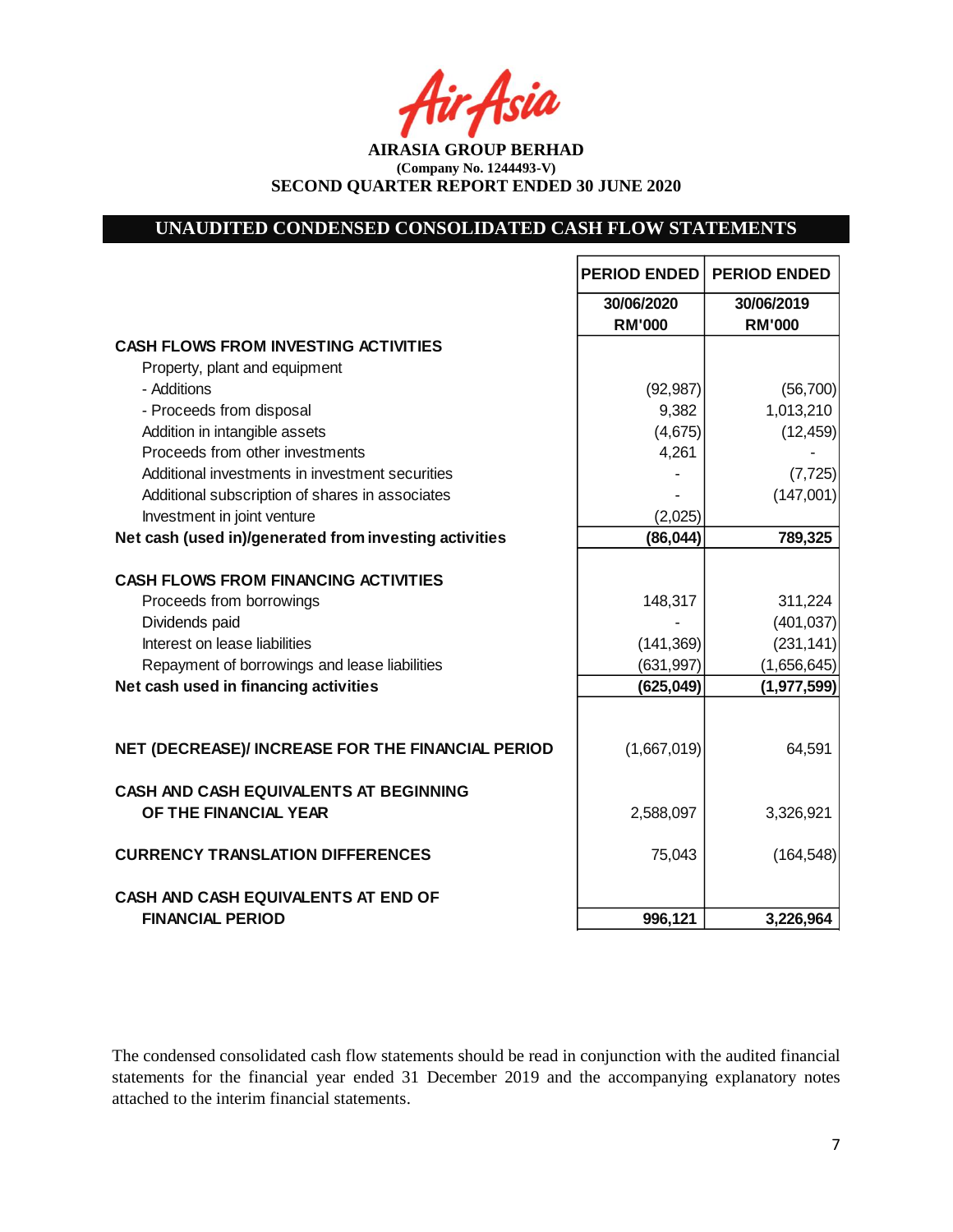Asia

**AIRASIA GROUP BERHAD (Company No. 1244493-V) SECOND QUARTER REPORT ENDED 30 JUNE 2020**

# **UNAUDITED CONDENSED CONSOLIDATED CASH FLOW STATEMENTS**

|                                                                         | <b>PERIOD ENDED</b>         | <b>PERIOD ENDED</b>         |
|-------------------------------------------------------------------------|-----------------------------|-----------------------------|
|                                                                         | 30/06/2020<br><b>RM'000</b> | 30/06/2019<br><b>RM'000</b> |
| <b>CASH FLOWS FROM INVESTING ACTIVITIES</b>                             |                             |                             |
| Property, plant and equipment                                           |                             |                             |
| - Additions                                                             | (92, 987)                   | (56, 700)                   |
| - Proceeds from disposal                                                | 9,382                       | 1,013,210                   |
| Addition in intangible assets                                           | (4,675)                     | (12, 459)                   |
| Proceeds from other investments                                         | 4,261                       |                             |
| Additional investments in investment securities                         |                             | (7, 725)                    |
| Additional subscription of shares in associates                         |                             | (147,001)                   |
| Investment in joint venture                                             | (2,025)                     |                             |
| Net cash (used in)/generated from investing activities                  | (86, 044)                   | 789,325                     |
| <b>CASH FLOWS FROM FINANCING ACTIVITIES</b><br>Proceeds from borrowings | 148,317                     | 311,224                     |
| Dividends paid                                                          |                             | (401, 037)                  |
| Interest on lease liabilities                                           | (141, 369)                  | (231, 141)                  |
| Repayment of borrowings and lease liabilities                           | (631, 997)                  | (1,656,645)                 |
| Net cash used in financing activities                                   | (625, 049)                  | (1,977,599)                 |
|                                                                         |                             |                             |
| NET (DECREASE)/ INCREASE FOR THE FINANCIAL PERIOD                       | (1,667,019)                 | 64,591                      |
| <b>CASH AND CASH EQUIVALENTS AT BEGINNING</b><br>OF THE FINANCIAL YEAR  | 2,588,097                   | 3,326,921                   |
| <b>CURRENCY TRANSLATION DIFFERENCES</b>                                 | 75,043                      | (164, 548)                  |
| <b>CASH AND CASH EQUIVALENTS AT END OF</b>                              |                             |                             |
| <b>FINANCIAL PERIOD</b>                                                 | 996,121                     | 3,226,964                   |

The condensed consolidated cash flow statements should be read in conjunction with the audited financial statements for the financial year ended 31 December 2019 and the accompanying explanatory notes attached to the interim financial statements.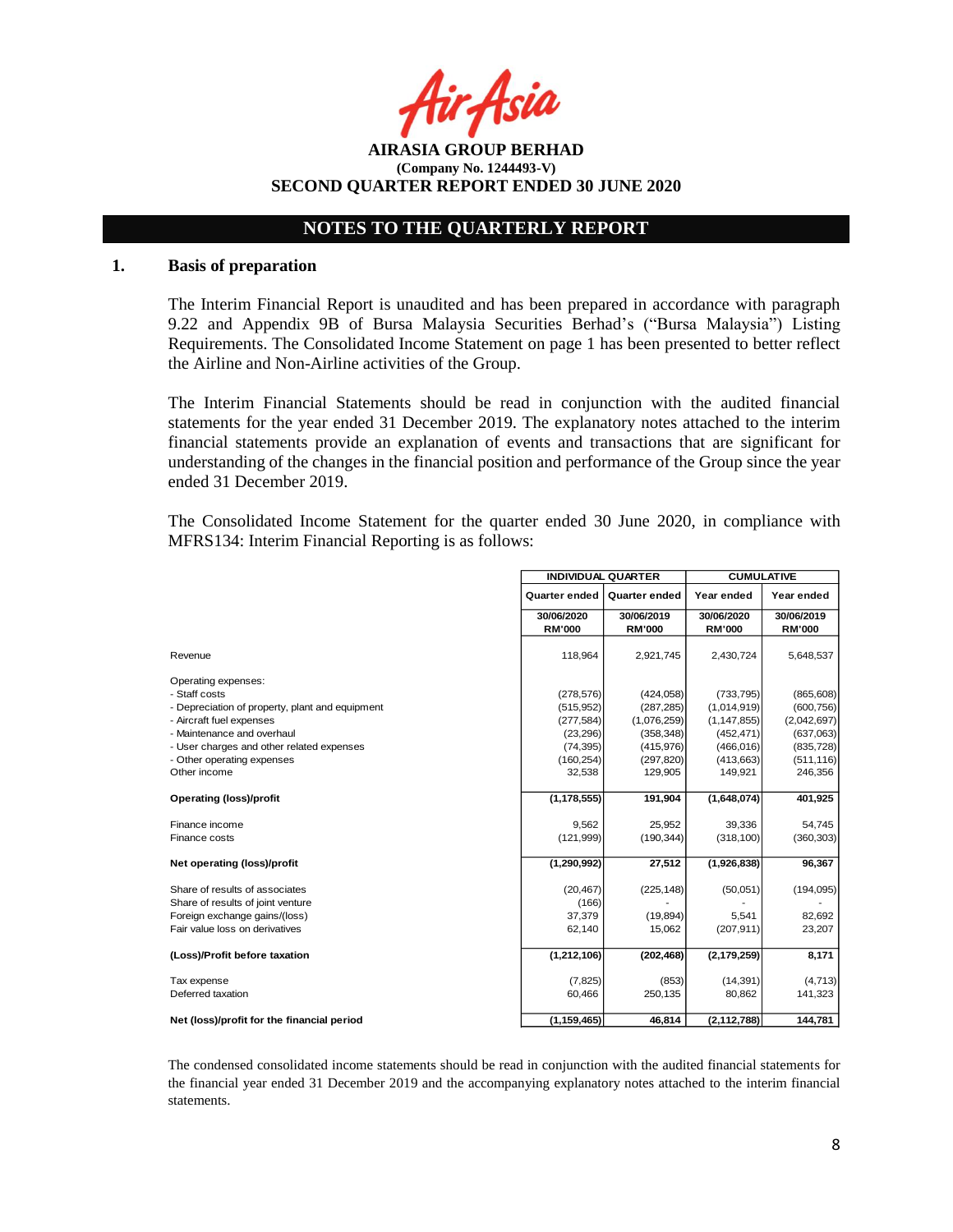Asia

**AIRASIA GROUP BERHAD (Company No. 1244493-V) SECOND QUARTER REPORT ENDED 30 JUNE 2020**

## **NOTES TO THE QUARTERLY REPORT**

### **1. Basis of preparation**

The Interim Financial Report is unaudited and has been prepared in accordance with paragraph 9.22 and Appendix 9B of Bursa Malaysia Securities Berhad's ("Bursa Malaysia") Listing Requirements. The Consolidated Income Statement on page 1 has been presented to better reflect the Airline and Non-Airline activities of the Group.

The Interim Financial Statements should be read in conjunction with the audited financial statements for the year ended 31 December 2019. The explanatory notes attached to the interim financial statements provide an explanation of events and transactions that are significant for understanding of the changes in the financial position and performance of the Group since the year ended 31 December 2019.

The Consolidated Income Statement for the quarter ended 30 June 2020, in compliance with MFRS134: Interim Financial Reporting is as follows:

|                                                 | <b>INDIVIDUAL QUARTER</b> |                      | <b>CUMULATIVE</b> |               |
|-------------------------------------------------|---------------------------|----------------------|-------------------|---------------|
|                                                 | Quarter ended             | <b>Quarter ended</b> | Year ended        | Year ended    |
|                                                 | 30/06/2020                | 30/06/2019           | 30/06/2020        | 30/06/2019    |
|                                                 | <b>RM'000</b>             | <b>RM'000</b>        | <b>RM'000</b>     | <b>RM'000</b> |
| Revenue                                         | 118,964                   | 2,921,745            | 2,430,724         | 5,648,537     |
| Operating expenses:                             |                           |                      |                   |               |
| - Staff costs                                   | (278, 576)                | (424, 058)           | (733, 795)        | (865, 608)    |
| - Depreciation of property, plant and equipment | (515, 952)                | (287, 285)           | (1,014,919)       | (600, 756)    |
| - Aircraft fuel expenses                        | (277, 584)                | (1,076,259)          | (1, 147, 855)     | (2,042,697)   |
| - Maintenance and overhaul                      | (23, 296)                 | (358, 348)           | (452, 471)        | (637,063)     |
| - User charges and other related expenses       | (74, 395)                 | (415, 976)           | (466, 016)        | (835, 728)    |
| - Other operating expenses                      | (160, 254)                | (297, 820)           | (413, 663)        | (511, 116)    |
| Other income                                    | 32,538                    | 129,905              | 149,921           | 246,356       |
|                                                 |                           |                      |                   |               |
| <b>Operating (loss)/profit</b>                  | (1, 178, 555)             | 191,904              | (1,648,074)       | 401,925       |
|                                                 |                           |                      |                   |               |
| Finance income                                  | 9,562                     | 25,952               | 39,336            | 54,745        |
| Finance costs                                   | (121, 999)                | (190, 344)           | (318, 100)        | (360, 303)    |
| Net operating (loss)/profit                     | (1, 290, 992)             | 27,512               | (1,926,838)       | 96,367        |
| Share of results of associates                  | (20, 467)                 | (225, 148)           | (50,051)          | (194, 095)    |
| Share of results of joint venture               | (166)                     |                      |                   |               |
| Foreign exchange gains/(loss)                   | 37,379                    | (19, 894)            | 5,541             | 82,692        |
| Fair value loss on derivatives                  | 62,140                    | 15,062               | (207, 911)        | 23,207        |
|                                                 |                           |                      |                   |               |
| (Loss)/Profit before taxation                   | (1,212,106)               | (202, 468)           | (2, 179, 259)     | 8,171         |
| Tax expense                                     | (7, 825)                  | (853)                | (14, 391)         | (4, 713)      |
| Deferred taxation                               | 60,466                    | 250,135              | 80,862            | 141,323       |
|                                                 |                           |                      |                   |               |
| Net (loss)/profit for the financial period      | (1, 159, 465)             | 46,814               | (2, 112, 788)     | 144,781       |

The condensed consolidated income statements should be read in conjunction with the audited financial statements for the financial year ended 31 December 2019 and the accompanying explanatory notes attached to the interim financial statements.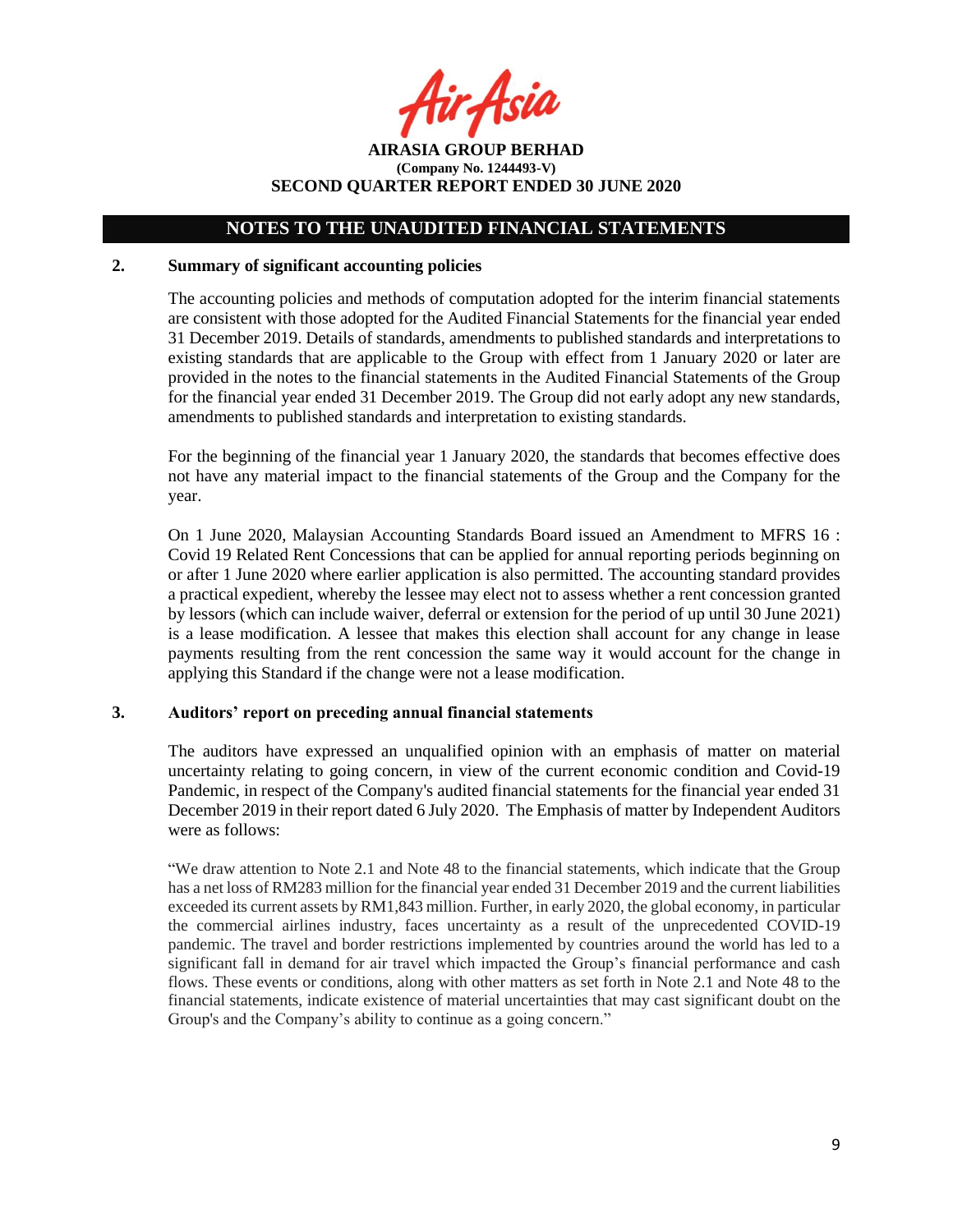r Asia

**AIRASIA GROUP BERHAD (Company No. 1244493-V) SECOND QUARTER REPORT ENDED 30 JUNE 2020**

### **2. Summary of significant accounting policies**

The accounting policies and methods of computation adopted for the interim financial statements are consistent with those adopted for the Audited Financial Statements for the financial year ended 31 December 2019. Details of standards, amendments to published standards and interpretations to existing standards that are applicable to the Group with effect from 1 January 2020 or later are provided in the notes to the financial statements in the Audited Financial Statements of the Group for the financial year ended 31 December 2019. The Group did not early adopt any new standards, amendments to published standards and interpretation to existing standards.

For the beginning of the financial year 1 January 2020, the standards that becomes effective does not have any material impact to the financial statements of the Group and the Company for the year.

On 1 June 2020, Malaysian Accounting Standards Board issued an Amendment to MFRS 16 : Covid 19 Related Rent Concessions that can be applied for annual reporting periods beginning on or after 1 June 2020 where earlier application is also permitted. The accounting standard provides a practical expedient, whereby the lessee may elect not to assess whether a rent concession granted by lessors (which can include waiver, deferral or extension for the period of up until 30 June 2021) is a lease modification. A lessee that makes this election shall account for any change in lease payments resulting from the rent concession the same way it would account for the change in applying this Standard if the change were not a lease modification.

## **3. Auditors' report on preceding annual financial statements**

The auditors have expressed an unqualified opinion with an emphasis of matter on material uncertainty relating to going concern, in view of the current economic condition and Covid-19 Pandemic, in respect of the Company's audited financial statements for the financial year ended 31 December 2019 in their report dated 6 July 2020. The Emphasis of matter by Independent Auditors were as follows:

"We draw attention to Note 2.1 and Note 48 to the financial statements, which indicate that the Group has a net loss of RM283 million for the financial year ended 31 December 2019 and the current liabilities exceeded its current assets by RM1,843 million. Further, in early 2020, the global economy, in particular the commercial airlines industry, faces uncertainty as a result of the unprecedented COVID-19 pandemic. The travel and border restrictions implemented by countries around the world has led to a significant fall in demand for air travel which impacted the Group's financial performance and cash flows. These events or conditions, along with other matters as set forth in Note 2.1 and Note 48 to the financial statements, indicate existence of material uncertainties that may cast significant doubt on the Group's and the Company's ability to continue as a going concern."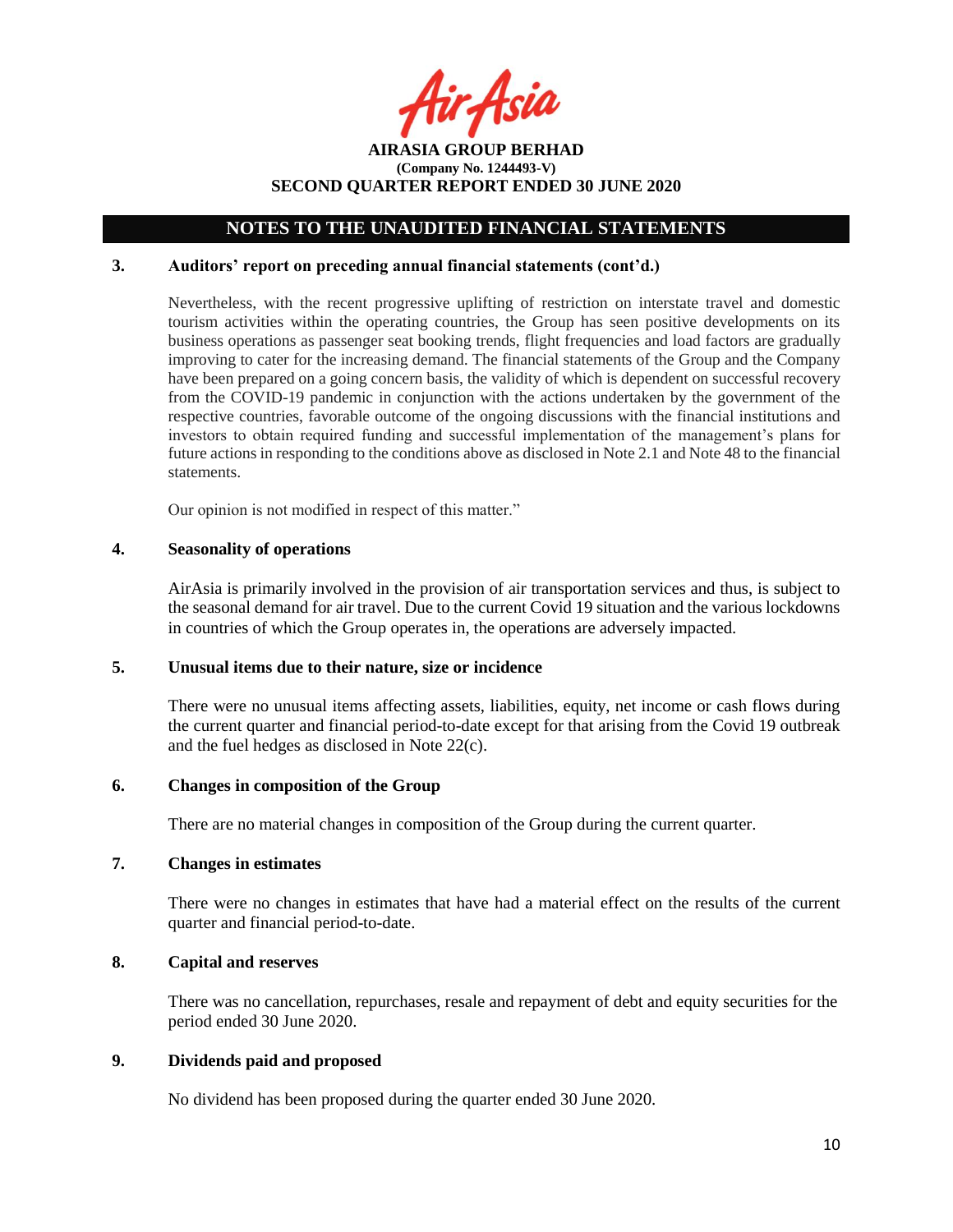fir Asia

**AIRASIA GROUP BERHAD (Company No. 1244493-V) SECOND QUARTER REPORT ENDED 30 JUNE 2020**

### **3. Auditors' report on preceding annual financial statements (cont'd.)**

Nevertheless, with the recent progressive uplifting of restriction on interstate travel and domestic tourism activities within the operating countries, the Group has seen positive developments on its business operations as passenger seat booking trends, flight frequencies and load factors are gradually improving to cater for the increasing demand. The financial statements of the Group and the Company have been prepared on a going concern basis, the validity of which is dependent on successful recovery from the COVID-19 pandemic in conjunction with the actions undertaken by the government of the respective countries, favorable outcome of the ongoing discussions with the financial institutions and investors to obtain required funding and successful implementation of the management's plans for future actions in responding to the conditions above as disclosed in Note 2.1 and Note 48 to the financial statements.

Our opinion is not modified in respect of this matter."

### **4. Seasonality of operations**

AirAsia is primarily involved in the provision of air transportation services and thus, is subject to the seasonal demand for air travel. Due to the current Covid 19 situation and the various lockdowns in countries of which the Group operates in, the operations are adversely impacted.

#### **5. Unusual items due to their nature, size or incidence**

There were no unusual items affecting assets, liabilities, equity, net income or cash flows during the current quarter and financial period-to-date except for that arising from the Covid 19 outbreak and the fuel hedges as disclosed in Note 22(c).

### **6. Changes in composition of the Group**

There are no material changes in composition of the Group during the current quarter.

### **7. Changes in estimates**

There were no changes in estimates that have had a material effect on the results of the current quarter and financial period-to-date.

## **8. Capital and reserves**

There was no cancellation, repurchases, resale and repayment of debt and equity securities for the period ended 30 June 2020.

## **9. Dividends paid and proposed**

No dividend has been proposed during the quarter ended 30 June 2020.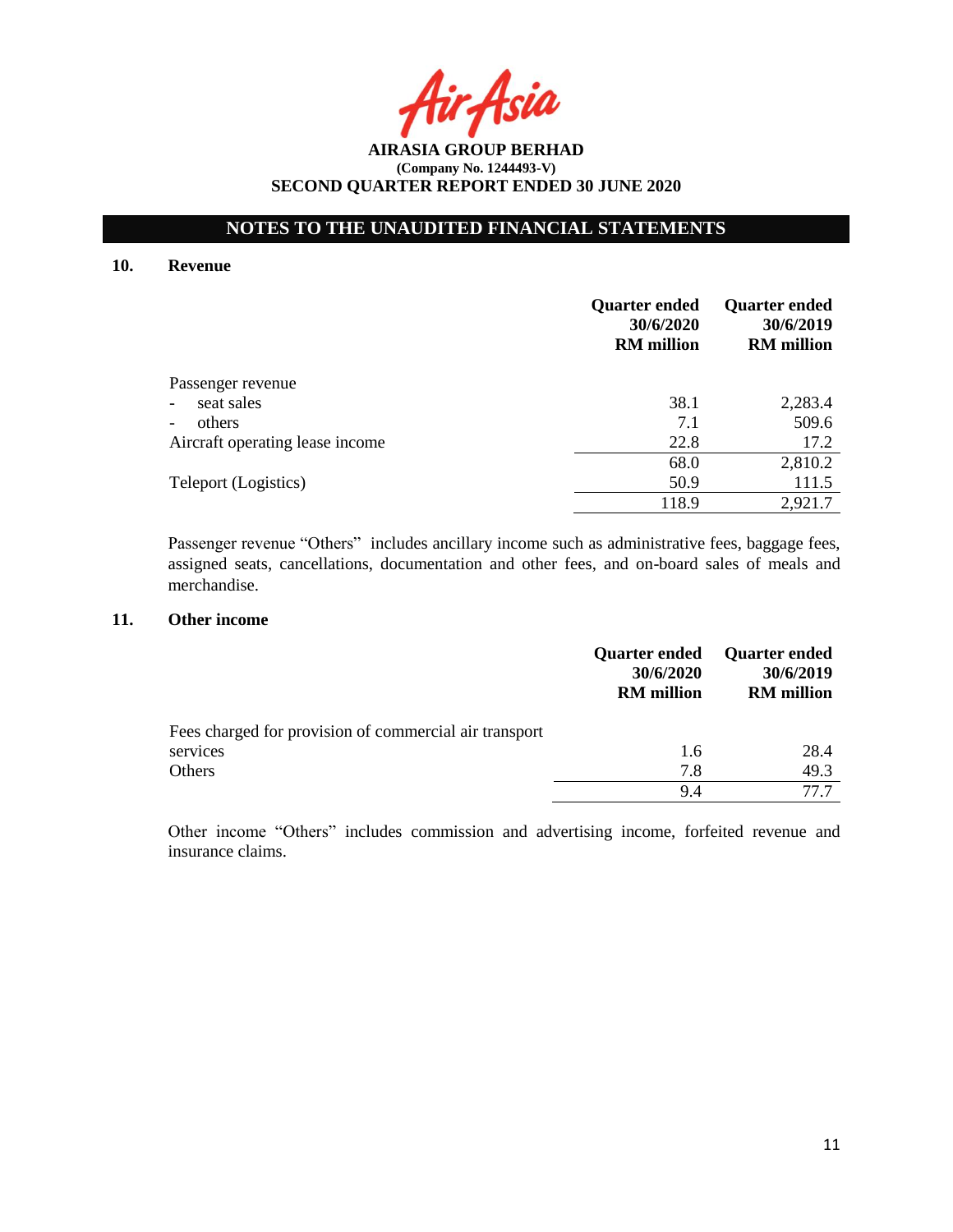Asia

**AIRASIA GROUP BERHAD (Company No. 1244493-V) SECOND QUARTER REPORT ENDED 30 JUNE 2020**

#### **10. Revenue**

|                                        | <b>Quarter ended</b><br>30/6/2020<br><b>RM</b> million | <b>Quarter ended</b><br>30/6/2019<br><b>RM</b> million |
|----------------------------------------|--------------------------------------------------------|--------------------------------------------------------|
| Passenger revenue                      |                                                        |                                                        |
| seat sales<br>$\overline{\phantom{0}}$ | 38.1                                                   | 2,283.4                                                |
| others<br>-                            | 7.1                                                    | 509.6                                                  |
| Aircraft operating lease income        | 22.8                                                   | 17.2                                                   |
|                                        | 68.0                                                   | 2,810.2                                                |
| Teleport (Logistics)                   | 50.9                                                   | 111.5                                                  |
|                                        | 118.9                                                  | 2,921.7                                                |

Passenger revenue "Others" includes ancillary income such as administrative fees, baggage fees, assigned seats, cancellations, documentation and other fees, and on-board sales of meals and merchandise.

## **11. Other income**

|                                                        | <b>Quarter ended</b><br>30/6/2020<br><b>RM</b> million | <b>Quarter ended</b><br>30/6/2019<br><b>RM</b> million |
|--------------------------------------------------------|--------------------------------------------------------|--------------------------------------------------------|
| Fees charged for provision of commercial air transport |                                                        |                                                        |
| services                                               | 1.6                                                    | 28.4                                                   |
| Others                                                 | 7.8                                                    | 49.3                                                   |
|                                                        | 9.4                                                    | 77.7                                                   |

Other income "Others" includes commission and advertising income, forfeited revenue and insurance claims.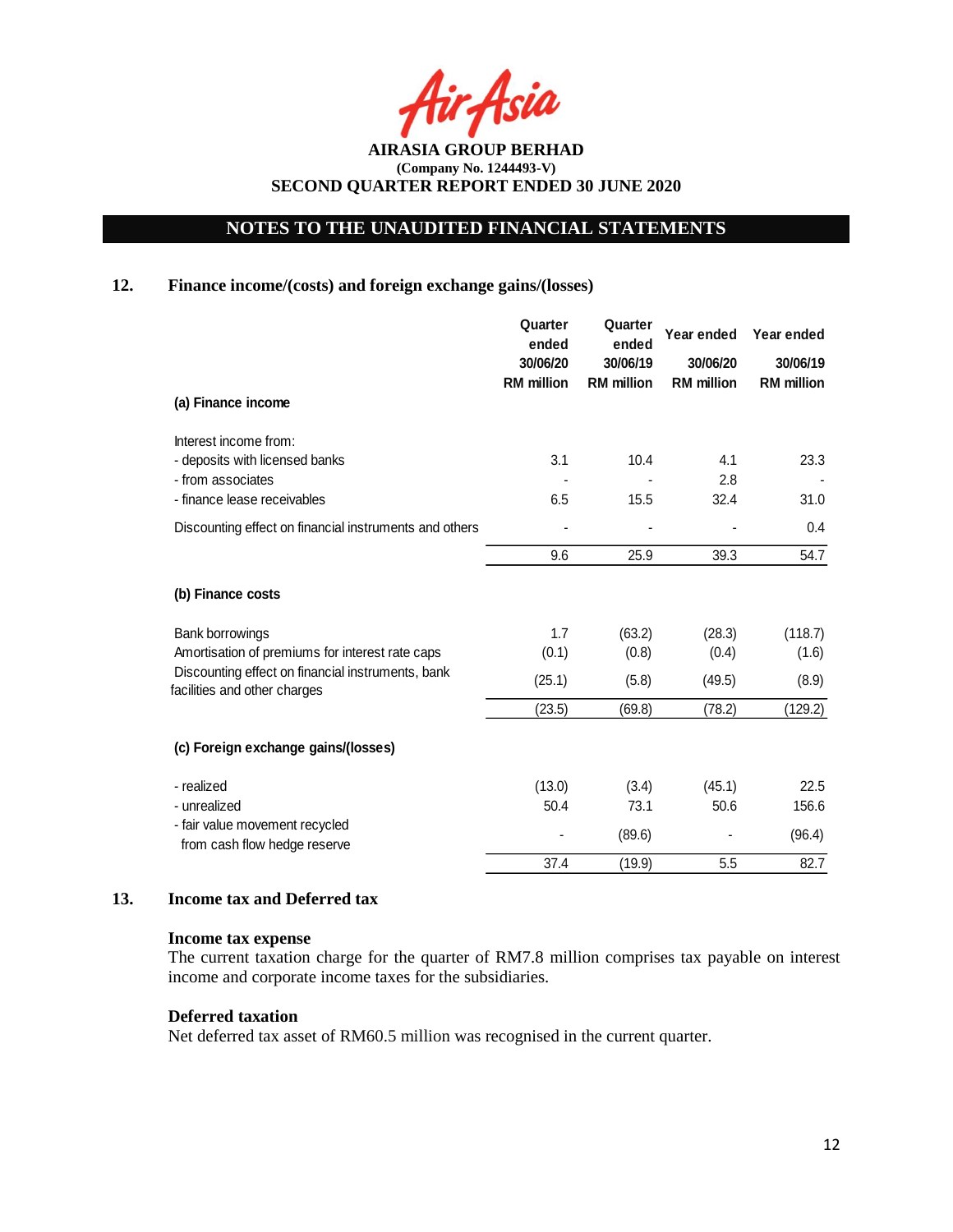Asia

**AIRASIA GROUP BERHAD (Company No. 1244493-V) SECOND QUARTER REPORT ENDED 30 JUNE 2020**

## **12. Finance income/(costs) and foreign exchange gains/(losses)**

|                                                                                   | Quarter<br>ended              | Quarter<br>ended              | Year ended                    | Year ended                    |
|-----------------------------------------------------------------------------------|-------------------------------|-------------------------------|-------------------------------|-------------------------------|
|                                                                                   | 30/06/20<br><b>RM</b> million | 30/06/19<br><b>RM</b> million | 30/06/20<br><b>RM</b> million | 30/06/19<br><b>RM</b> million |
| (a) Finance income                                                                |                               |                               |                               |                               |
| Interest income from:                                                             |                               |                               |                               |                               |
| - deposits with licensed banks                                                    | 3.1                           | 10.4                          | 4.1                           | 23.3                          |
| - from associates<br>- finance lease receivables                                  | 6.5                           | 15.5                          | 2.8<br>32.4                   | 31.0                          |
| Discounting effect on financial instruments and others                            |                               |                               |                               | 0.4                           |
|                                                                                   | 9.6                           | 25.9                          | 39.3                          | 54.7                          |
| (b) Finance costs                                                                 |                               |                               |                               |                               |
| Bank borrowings                                                                   | 1.7                           | (63.2)                        | (28.3)                        | (118.7)                       |
| Amortisation of premiums for interest rate caps                                   | (0.1)                         | (0.8)                         | (0.4)                         | (1.6)                         |
| Discounting effect on financial instruments, bank<br>facilities and other charges | (25.1)                        | (5.8)                         | (49.5)                        | (8.9)                         |
|                                                                                   | (23.5)                        | (69.8)                        | (78.2)                        | (129.2)                       |
| (c) Foreign exchange gains/(losses)                                               |                               |                               |                               |                               |
| - realized                                                                        | (13.0)                        | (3.4)                         | (45.1)                        | 22.5                          |
| - unrealized                                                                      | 50.4                          | 73.1                          | 50.6                          | 156.6                         |
| - fair value movement recycled<br>from cash flow hedge reserve                    |                               | (89.6)                        |                               | (96.4)                        |
|                                                                                   | 37.4                          | (19.9)                        | 5.5                           | 82.7                          |

## **13. Income tax and Deferred tax**

### **Income tax expense**

The current taxation charge for the quarter of RM7.8 million comprises tax payable on interest income and corporate income taxes for the subsidiaries.

### **Deferred taxation**

Net deferred tax asset of RM60.5 million was recognised in the current quarter.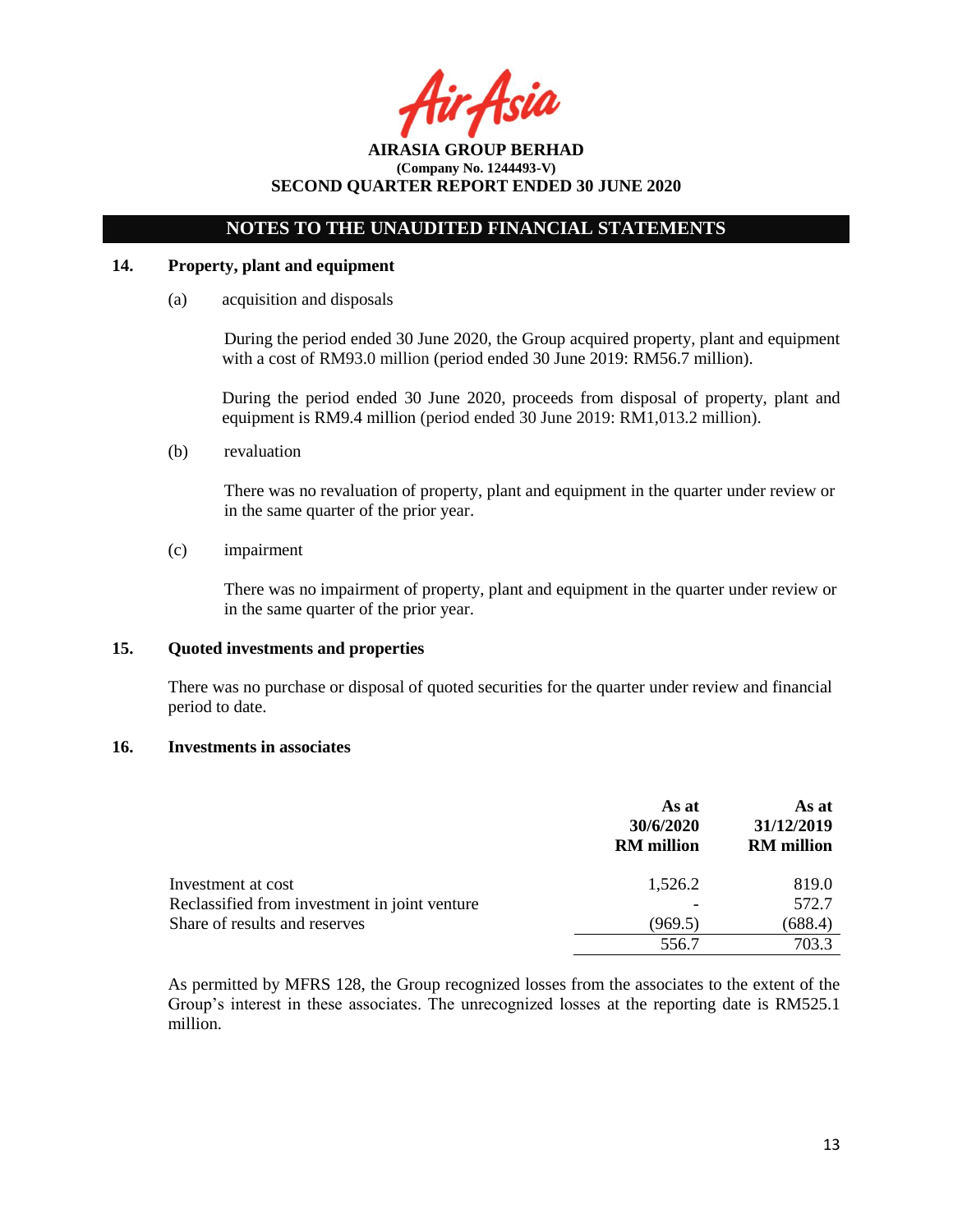Asil

## **NOTES TO THE UNAUDITED FINANCIAL STATEMENTS**

## **14. Property, plant and equipment**

(a) acquisition and disposals

During the period ended 30 June 2020, the Group acquired property, plant and equipment with a cost of RM93.0 million (period ended 30 June 2019: RM56.7 million).

During the period ended 30 June 2020, proceeds from disposal of property, plant and equipment is RM9.4 million (period ended 30 June 2019: RM1,013.2 million).

(b) revaluation

There was no revaluation of property, plant and equipment in the quarter under review or in the same quarter of the prior year.

(c) impairment

There was no impairment of property, plant and equipment in the quarter under review or in the same quarter of the prior year.

### **15. Quoted investments and properties**

There was no purchase or disposal of quoted securities for the quarter under review and financial period to date.

## **16. Investments in associates**

|                                               | As at<br>30/6/2020<br><b>RM</b> million | As at<br>31/12/2019<br><b>RM</b> million |
|-----------------------------------------------|-----------------------------------------|------------------------------------------|
| Investment at cost                            | 1,526.2                                 | 819.0                                    |
| Reclassified from investment in joint venture |                                         | 572.7                                    |
| Share of results and reserves                 | (969.5)                                 | (688.4)                                  |
|                                               | 556.7                                   | 703.3                                    |

As permitted by MFRS 128, the Group recognized losses from the associates to the extent of the Group's interest in these associates. The unrecognized losses at the reporting date is RM525.1 million.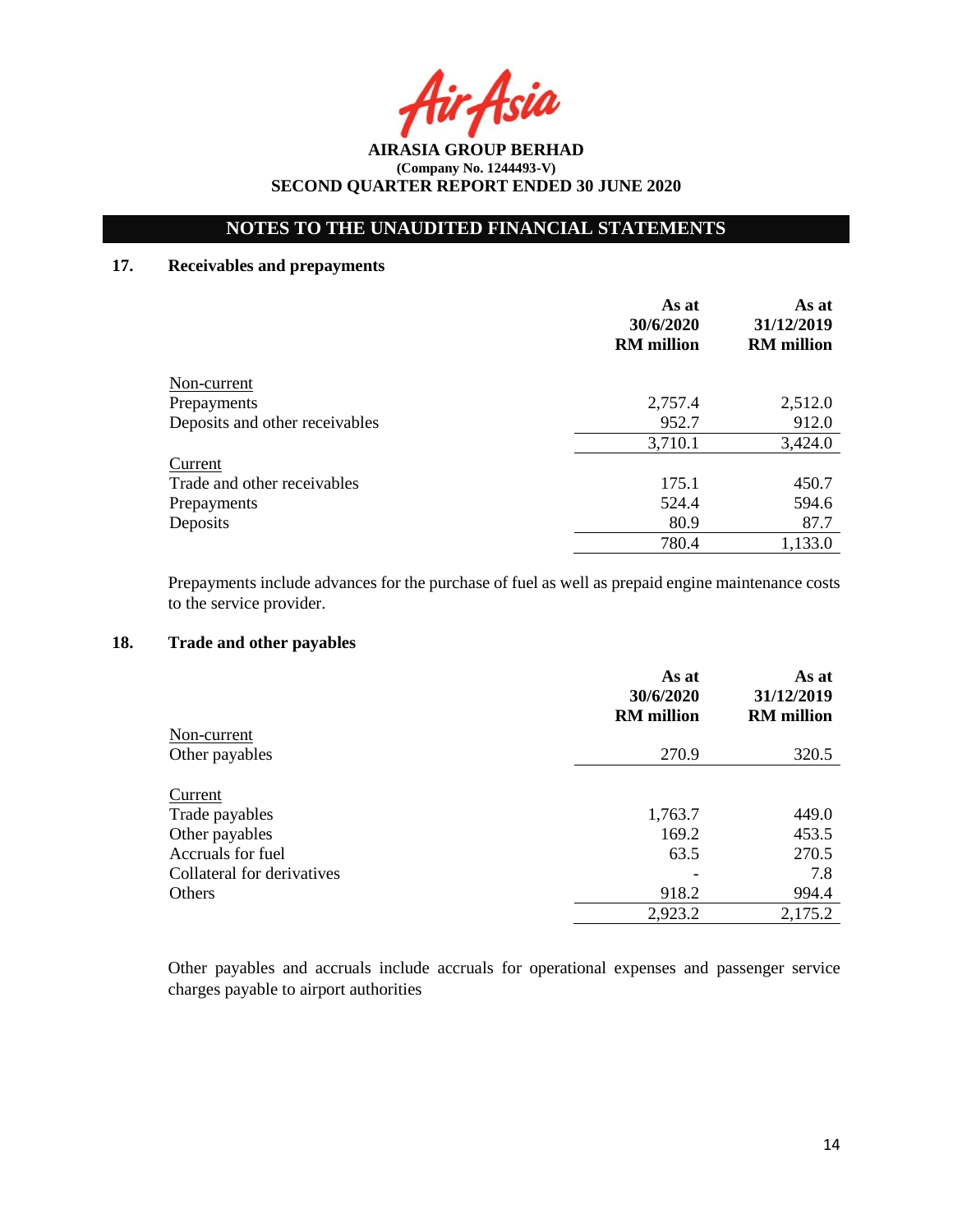Asia

**AIRASIA GROUP BERHAD (Company No. 1244493-V) SECOND QUARTER REPORT ENDED 30 JUNE 2020**

## **17. Receivables and prepayments**

|                                | As at<br>30/6/2020<br><b>RM</b> million | As at<br>31/12/2019<br><b>RM</b> million |
|--------------------------------|-----------------------------------------|------------------------------------------|
| Non-current                    |                                         |                                          |
| Prepayments                    | 2,757.4                                 | 2,512.0                                  |
| Deposits and other receivables | 952.7                                   | 912.0                                    |
|                                | 3,710.1                                 | 3,424.0                                  |
| Current                        |                                         |                                          |
| Trade and other receivables    | 175.1                                   | 450.7                                    |
| Prepayments                    | 524.4                                   | 594.6                                    |
| Deposits                       | 80.9                                    | 87.7                                     |
|                                | 780.4                                   | 1,133.0                                  |

Prepayments include advances for the purchase of fuel as well as prepaid engine maintenance costs to the service provider.

## **18. Trade and other payables**

|                            | As at<br>30/6/2020<br><b>RM</b> million | As at<br>31/12/2019<br><b>RM</b> million |
|----------------------------|-----------------------------------------|------------------------------------------|
| Non-current                |                                         |                                          |
| Other payables             | 270.9                                   | 320.5                                    |
| Current                    |                                         |                                          |
| Trade payables             | 1,763.7                                 | 449.0                                    |
| Other payables             | 169.2                                   | 453.5                                    |
| Accruals for fuel          | 63.5                                    | 270.5                                    |
| Collateral for derivatives |                                         | 7.8                                      |
| Others                     | 918.2                                   | 994.4                                    |
|                            | 2,923.2                                 | 2,175.2                                  |

Other payables and accruals include accruals for operational expenses and passenger service charges payable to airport authorities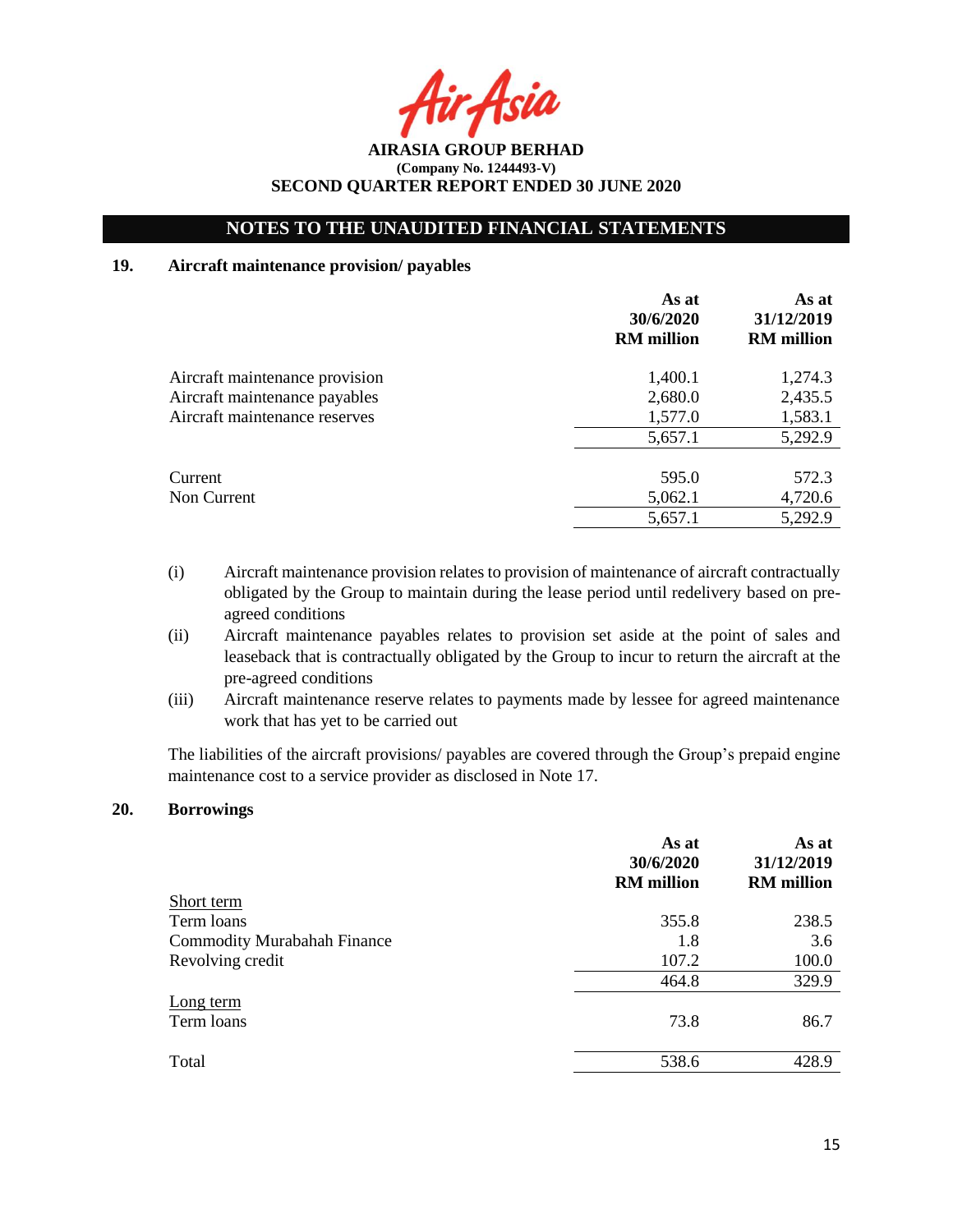Asia

**AIRASIA GROUP BERHAD (Company No. 1244493-V) SECOND QUARTER REPORT ENDED 30 JUNE 2020**

## **19. Aircraft maintenance provision/ payables**

|                                | As at<br>30/6/2020<br><b>RM</b> million | As at<br>31/12/2019<br><b>RM</b> million |
|--------------------------------|-----------------------------------------|------------------------------------------|
| Aircraft maintenance provision | 1,400.1                                 | 1,274.3                                  |
| Aircraft maintenance payables  | 2,680.0                                 | 2,435.5                                  |
| Aircraft maintenance reserves  | 1,577.0                                 | 1,583.1                                  |
|                                | 5,657.1                                 | 5,292.9                                  |
| Current                        | 595.0                                   | 572.3                                    |
| Non Current                    | 5,062.1                                 | 4,720.6                                  |
|                                | 5,657.1                                 | 5,292.9                                  |

- (i) Aircraft maintenance provision relates to provision of maintenance of aircraft contractually obligated by the Group to maintain during the lease period until redelivery based on preagreed conditions
- (ii) Aircraft maintenance payables relates to provision set aside at the point of sales and leaseback that is contractually obligated by the Group to incur to return the aircraft at the pre-agreed conditions
- (iii) Aircraft maintenance reserve relates to payments made by lessee for agreed maintenance work that has yet to be carried out

The liabilities of the aircraft provisions/ payables are covered through the Group's prepaid engine maintenance cost to a service provider as disclosed in Note 17.

### **20. Borrowings**

|                                    | As at<br>30/6/2020<br><b>RM</b> million | As at<br>31/12/2019<br><b>RM</b> million |
|------------------------------------|-----------------------------------------|------------------------------------------|
| Short term                         |                                         |                                          |
| Term loans                         | 355.8                                   | 238.5                                    |
| <b>Commodity Murabahah Finance</b> | 1.8                                     | 3.6                                      |
| Revolving credit                   | 107.2                                   | 100.0                                    |
|                                    | 464.8                                   | 329.9                                    |
| Long term<br>Term loans            | 73.8                                    | 86.7                                     |
| Total                              | 538.6                                   | 428.9                                    |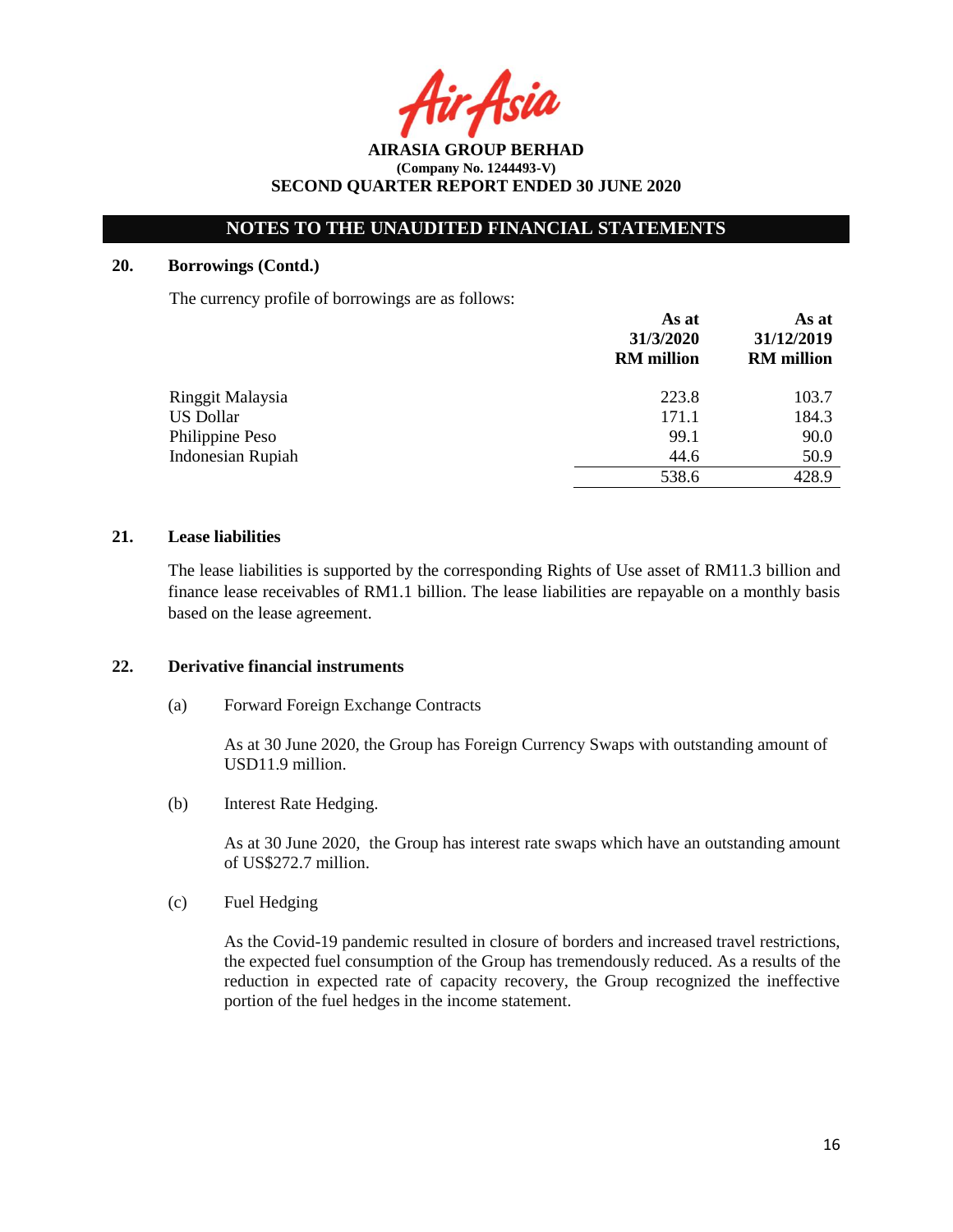Asia

**AIRASIA GROUP BERHAD (Company No. 1244493-V) SECOND QUARTER REPORT ENDED 30 JUNE 2020**

### **20. Borrowings (Contd.)**

The currency profile of borrowings are as follows:

|                          | As at<br>31/3/2020<br><b>RM</b> million | As at<br>31/12/2019<br><b>RM</b> million |  |
|--------------------------|-----------------------------------------|------------------------------------------|--|
| Ringgit Malaysia         | 223.8                                   | 103.7                                    |  |
| <b>US Dollar</b>         | 171.1                                   | 184.3                                    |  |
| Philippine Peso          | 99.1                                    | 90.0                                     |  |
| <b>Indonesian Rupiah</b> | 44.6                                    | 50.9                                     |  |
|                          | 538.6                                   | 428.9                                    |  |

### **21. Lease liabilities**

The lease liabilities is supported by the corresponding Rights of Use asset of RM11.3 billion and finance lease receivables of RM1.1 billion. The lease liabilities are repayable on a monthly basis based on the lease agreement.

### **22. Derivative financial instruments**

(a) Forward Foreign Exchange Contracts

As at 30 June 2020, the Group has Foreign Currency Swaps with outstanding amount of USD11.9 million.

(b) Interest Rate Hedging.

As at 30 June 2020, the Group has interest rate swaps which have an outstanding amount of US\$272.7 million.

(c) Fuel Hedging

As the Covid-19 pandemic resulted in closure of borders and increased travel restrictions, the expected fuel consumption of the Group has tremendously reduced. As a results of the reduction in expected rate of capacity recovery, the Group recognized the ineffective portion of the fuel hedges in the income statement.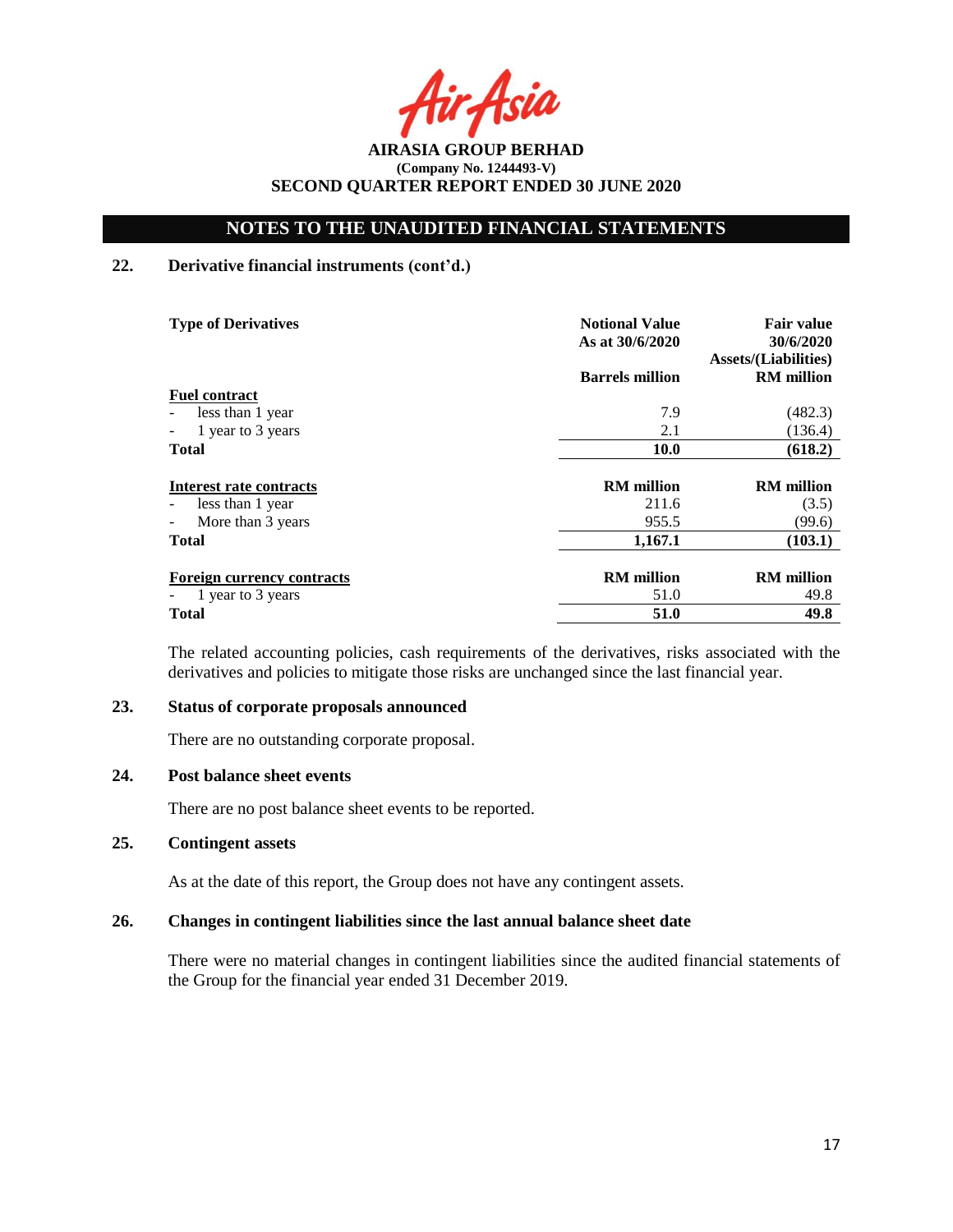Asia

**AIRASIA GROUP BERHAD (Company No. 1244493-V) SECOND QUARTER REPORT ENDED 30 JUNE 2020**

## **22. Derivative financial instruments (cont'd.)**

| <b>Type of Derivatives</b>                    | <b>Notional Value</b><br>As at 30/6/2020 | <b>Fair value</b><br>30/6/2020<br><b>Assets/(Liabilities)</b> |
|-----------------------------------------------|------------------------------------------|---------------------------------------------------------------|
|                                               | <b>Barrels million</b>                   | <b>RM</b> million                                             |
| <b>Fuel contract</b>                          |                                          |                                                               |
| less than 1 year                              | 7.9                                      | (482.3)                                                       |
| 1 year to 3 years<br>$\overline{\phantom{a}}$ | 2.1                                      | (136.4)                                                       |
| <b>Total</b>                                  | <b>10.0</b>                              | (618.2)                                                       |
| Interest rate contracts                       | <b>RM</b> million                        | <b>RM</b> million                                             |
| less than 1 year<br>$\overline{\phantom{a}}$  | 211.6                                    | (3.5)                                                         |
| More than 3 years<br>$\overline{\phantom{a}}$ | 955.5                                    | (99.6)                                                        |
| <b>Total</b>                                  | 1,167.1                                  | (103.1)                                                       |
| <b>Foreign currency contracts</b>             | <b>RM</b> million                        | <b>RM</b> million                                             |
| 1 year to 3 years                             | 51.0                                     | 49.8                                                          |
| <b>Total</b>                                  | 51.0                                     | 49.8                                                          |

The related accounting policies, cash requirements of the derivatives, risks associated with the derivatives and policies to mitigate those risks are unchanged since the last financial year.

## **23. Status of corporate proposals announced**

There are no outstanding corporate proposal.

### **24. Post balance sheet events**

There are no post balance sheet events to be reported.

## **25. Contingent assets**

As at the date of this report, the Group does not have any contingent assets.

### **26. Changes in contingent liabilities since the last annual balance sheet date**

There were no material changes in contingent liabilities since the audited financial statements of the Group for the financial year ended 31 December 2019.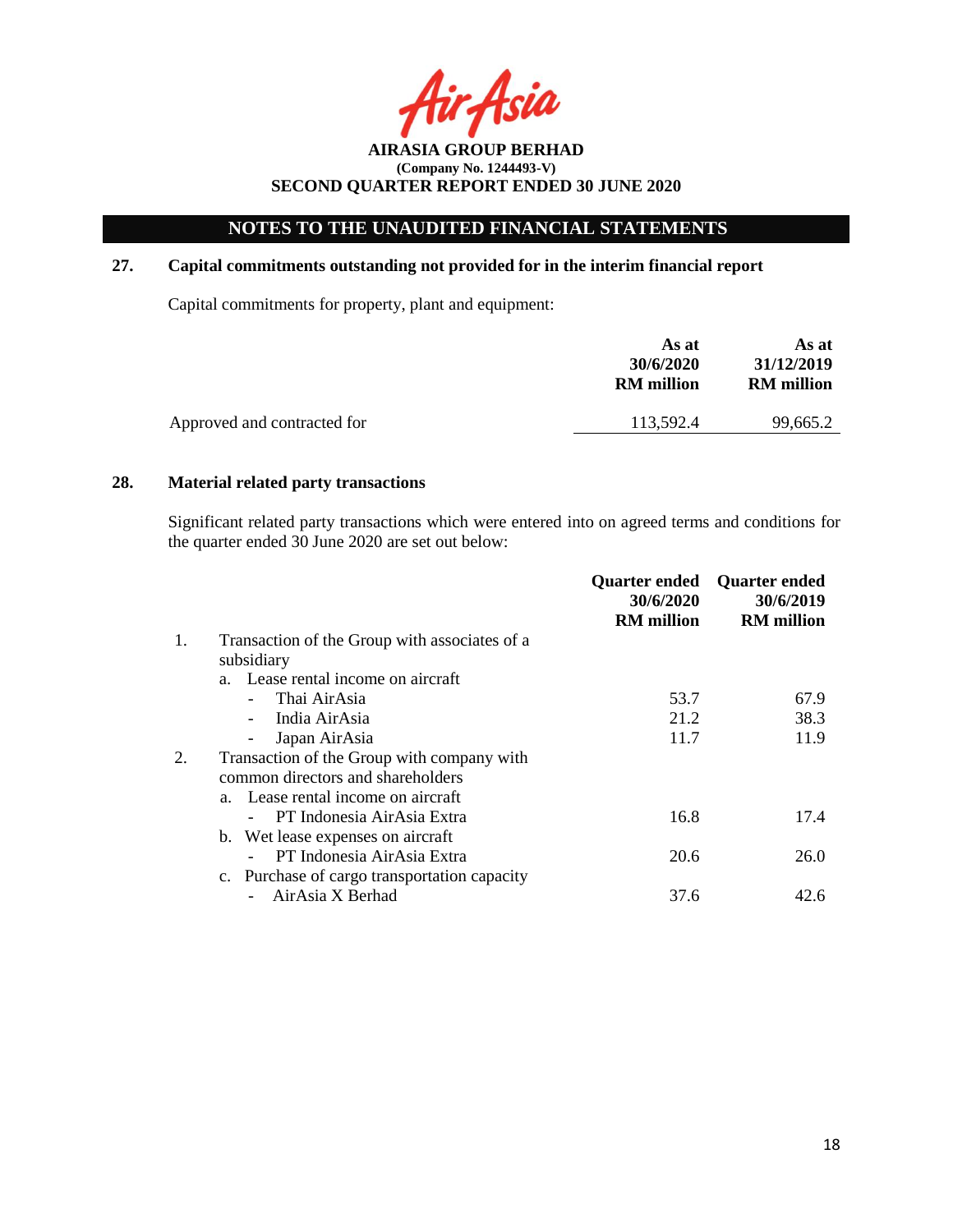# **NOTES TO THE UNAUDITED FINANCIAL STATEMENTS**

## **27. Capital commitments outstanding not provided for in the interim financial report**

Capital commitments for property, plant and equipment:

| As at<br>30/6/2020<br><b>RM</b> million | As at<br>31/12/2019<br><b>RM</b> million |
|-----------------------------------------|------------------------------------------|
| 113.592.4                               | 99,665.2                                 |
|                                         |                                          |

## **28. Material related party transactions**

Significant related party transactions which were entered into on agreed terms and conditions for the quarter ended 30 June 2020 are set out below:

|                                              | <b>Quarter ended</b><br>30/6/2020             | <b>Quarter ended</b><br>30/6/2019 |
|----------------------------------------------|-----------------------------------------------|-----------------------------------|
|                                              |                                               | <b>RM</b> million                 |
|                                              |                                               |                                   |
| subsidiary                                   |                                               |                                   |
| a. Lease rental income on aircraft           |                                               |                                   |
| Thai AirAsia                                 | 53.7                                          | 67.9                              |
| India AirAsia                                | 21.2                                          | 38.3                              |
| Japan AirAsia                                | 11.7                                          | 11.9                              |
| Transaction of the Group with company with   |                                               |                                   |
| common directors and shareholders            |                                               |                                   |
| a. Lease rental income on aircraft           |                                               |                                   |
| PT Indonesia AirAsia Extra                   | 16.8                                          | 17.4                              |
| b. Wet lease expenses on aircraft            |                                               |                                   |
| PT Indonesia AirAsia Extra                   | 20.6                                          | 26.0                              |
| c. Purchase of cargo transportation capacity |                                               |                                   |
| AirAsia X Berhad                             | 37.6                                          | 42.6                              |
|                                              | Transaction of the Group with associates of a | <b>RM</b> million                 |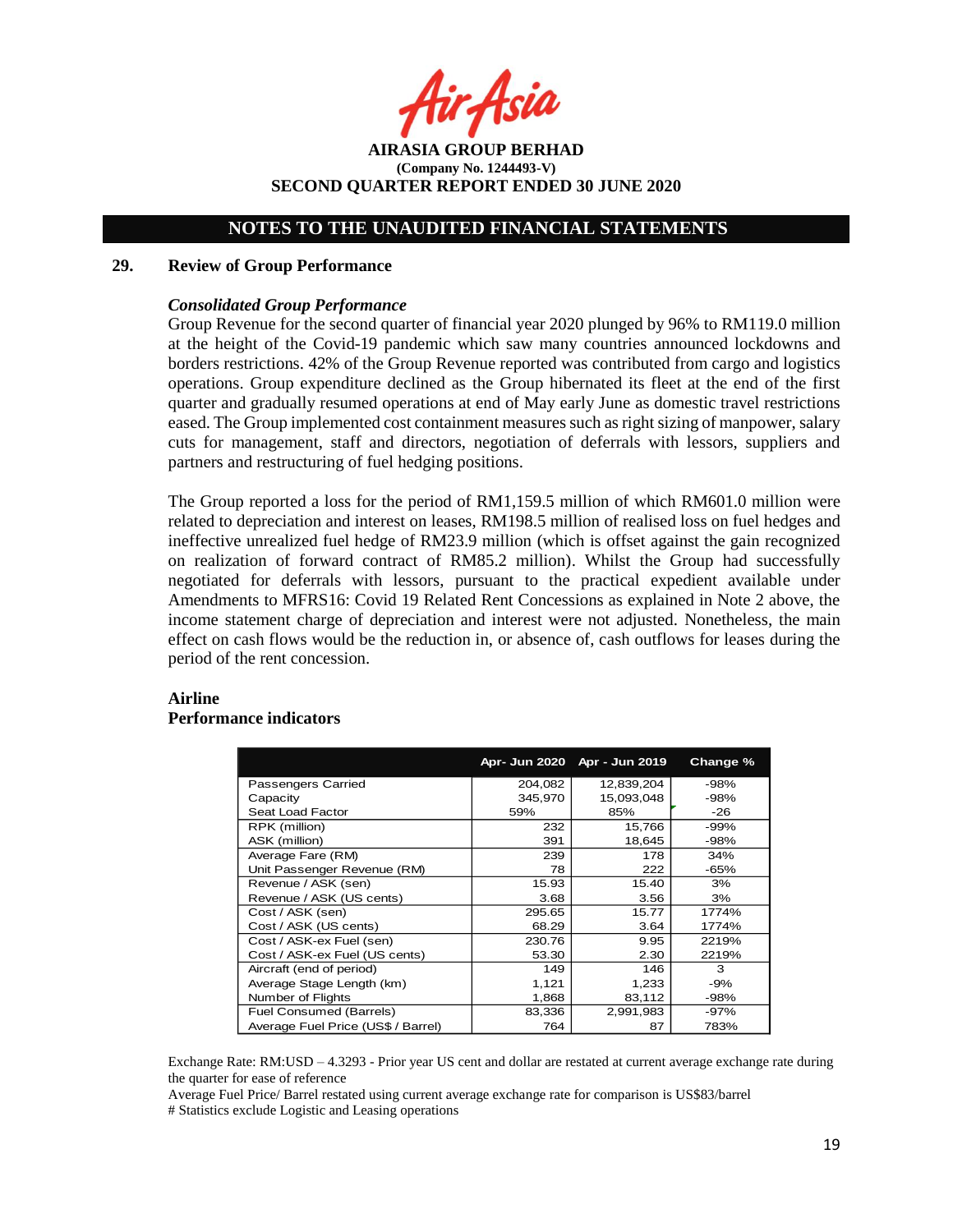**AIRASIA GROUP BERHAD (Company No. 1244493-V) SECOND QUARTER REPORT ENDED 30 JUNE 2020**

### **29. Review of Group Performance**

### *Consolidated Group Performance*

Group Revenue for the second quarter of financial year 2020 plunged by 96% to RM119.0 million at the height of the Covid-19 pandemic which saw many countries announced lockdowns and borders restrictions. 42% of the Group Revenue reported was contributed from cargo and logistics operations. Group expenditure declined as the Group hibernated its fleet at the end of the first quarter and gradually resumed operations at end of May early June as domestic travel restrictions eased. The Group implemented cost containment measures such as right sizing of manpower, salary cuts for management, staff and directors, negotiation of deferrals with lessors, suppliers and partners and restructuring of fuel hedging positions.

The Group reported a loss for the period of RM1,159.5 million of which RM601.0 million were related to depreciation and interest on leases, RM198.5 million of realised loss on fuel hedges and ineffective unrealized fuel hedge of RM23.9 million (which is offset against the gain recognized on realization of forward contract of RM85.2 million). Whilst the Group had successfully negotiated for deferrals with lessors, pursuant to the practical expedient available under Amendments to MFRS16: Covid 19 Related Rent Concessions as explained in Note 2 above, the income statement charge of depreciation and interest were not adjusted. Nonetheless, the main effect on cash flows would be the reduction in, or absence of, cash outflows for leases during the period of the rent concession.

### **Airline**

#### **Performance indicators**

|                                    |         | Apr- Jun 2020 Apr - Jun 2019 | Change % |
|------------------------------------|---------|------------------------------|----------|
| <b>Passengers Carried</b>          | 204,082 | 12,839,204                   | $-98%$   |
| Capacity                           | 345,970 | 15,093,048                   | -98%     |
| Seat Load Factor                   | 59%     | 85%                          | -26      |
| RPK (million)                      | 232     | 15,766                       | -99%     |
| ASK (million)                      | 391     | 18,645                       | -98%     |
| Average Fare (RM)                  | 239     | 178                          | 34%      |
| Unit Passenger Revenue (RM)        | 78      | 222                          | -65%     |
| Revenue / ASK (sen)                | 15.93   | 15.40                        | 3%       |
| Revenue / ASK (US cents)           | 3.68    | 3.56                         | 3%       |
| Cost / ASK (sen)                   | 295.65  | 15.77                        | 1774%    |
| Cost / ASK (US cents)              | 68.29   | 3.64                         | 1774%    |
| Cost / ASK-ex Fuel (sen)           | 230.76  | 9.95                         | 2219%    |
| Cost / ASK-ex Fuel (US cents)      | 53.30   | 2.30                         | 2219%    |
| Aircraft (end of period)           | 149     | 146                          | 3        |
| Average Stage Length (km)          | 1,121   | 1,233                        | $-9%$    |
| Number of Flights                  | 1,868   | 83,112                       | -98%     |
| Fuel Consumed (Barrels)            | 83,336  | 2,991,983                    | -97%     |
| Average Fuel Price (US\$ / Barrel) | 764     | 87                           | 783%     |

Exchange Rate: RM:USD – 4.3293 - Prior year US cent and dollar are restated at current average exchange rate during the quarter for ease of reference

Average Fuel Price/ Barrel restated using current average exchange rate for comparison is US\$83/barrel # Statistics exclude Logistic and Leasing operations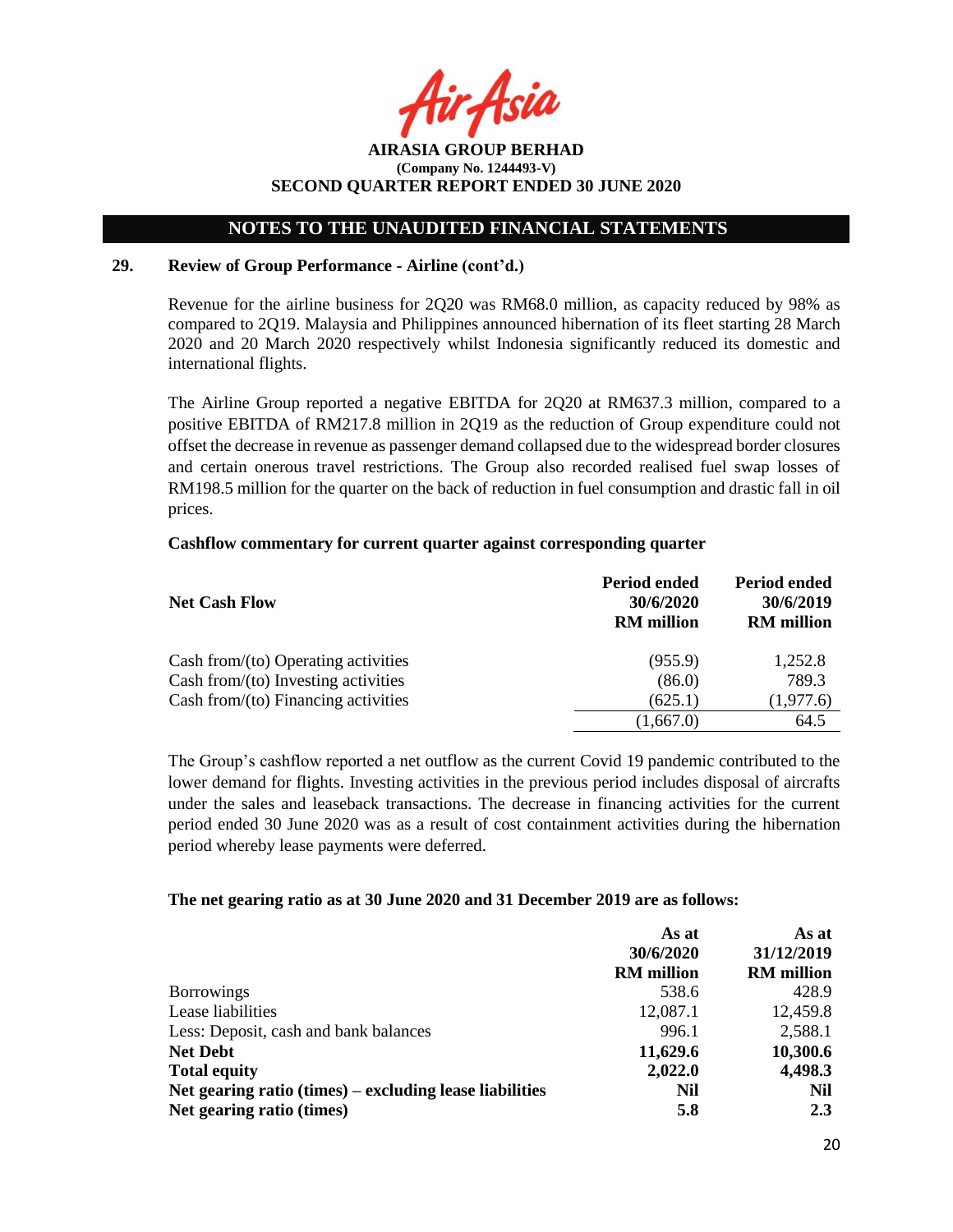Asil

## **NOTES TO THE UNAUDITED FINANCIAL STATEMENTS**

## **29. Review of Group Performance - Airline (cont'd.)**

Revenue for the airline business for 2Q20 was RM68.0 million, as capacity reduced by 98% as compared to 2Q19. Malaysia and Philippines announced hibernation of its fleet starting 28 March 2020 and 20 March 2020 respectively whilst Indonesia significantly reduced its domestic and international flights.

The Airline Group reported a negative EBITDA for 2Q20 at RM637.3 million, compared to a positive EBITDA of RM217.8 million in 2Q19 as the reduction of Group expenditure could not offset the decrease in revenue as passenger demand collapsed due to the widespread border closures and certain onerous travel restrictions. The Group also recorded realised fuel swap losses of RM198.5 million for the quarter on the back of reduction in fuel consumption and drastic fall in oil prices.

### **Cashflow commentary for current quarter against corresponding quarter**

| <b>Net Cash Flow</b>                   | Period ended<br>30/6/2020<br><b>RM</b> million | Period ended<br>30/6/2019<br><b>RM</b> million |  |
|----------------------------------------|------------------------------------------------|------------------------------------------------|--|
| Cash from/ $(to)$ Operating activities | (955.9)                                        | 1,252.8                                        |  |
| Cash from/(to) Investing activities    | (86.0)                                         | 789.3                                          |  |
| Cash from/ $(to)$ Financing activities | (625.1)                                        | (1,977.6)                                      |  |
|                                        | (1,667.0)                                      | 64.5                                           |  |

The Group's cashflow reported a net outflow as the current Covid 19 pandemic contributed to the lower demand for flights. Investing activities in the previous period includes disposal of aircrafts under the sales and leaseback transactions. The decrease in financing activities for the current period ended 30 June 2020 was as a result of cost containment activities during the hibernation period whereby lease payments were deferred.

### **The net gearing ratio as at 30 June 2020 and 31 December 2019 are as follows:**

|                                                         | As at             | As at             |  |
|---------------------------------------------------------|-------------------|-------------------|--|
|                                                         | 30/6/2020         | 31/12/2019        |  |
|                                                         | <b>RM</b> million | <b>RM</b> million |  |
| <b>Borrowings</b>                                       | 538.6             | 428.9             |  |
| Lease liabilities                                       | 12,087.1          | 12,459.8          |  |
| Less: Deposit, cash and bank balances                   | 996.1             | 2,588.1           |  |
| <b>Net Debt</b>                                         | 11,629.6          | 10,300.6          |  |
| <b>Total equity</b>                                     | 2,022.0           | 4,498.3           |  |
| Net gearing ratio (times) – excluding lease liabilities | Nil               | Nil               |  |
| Net gearing ratio (times)                               | 5.8               | 2.3               |  |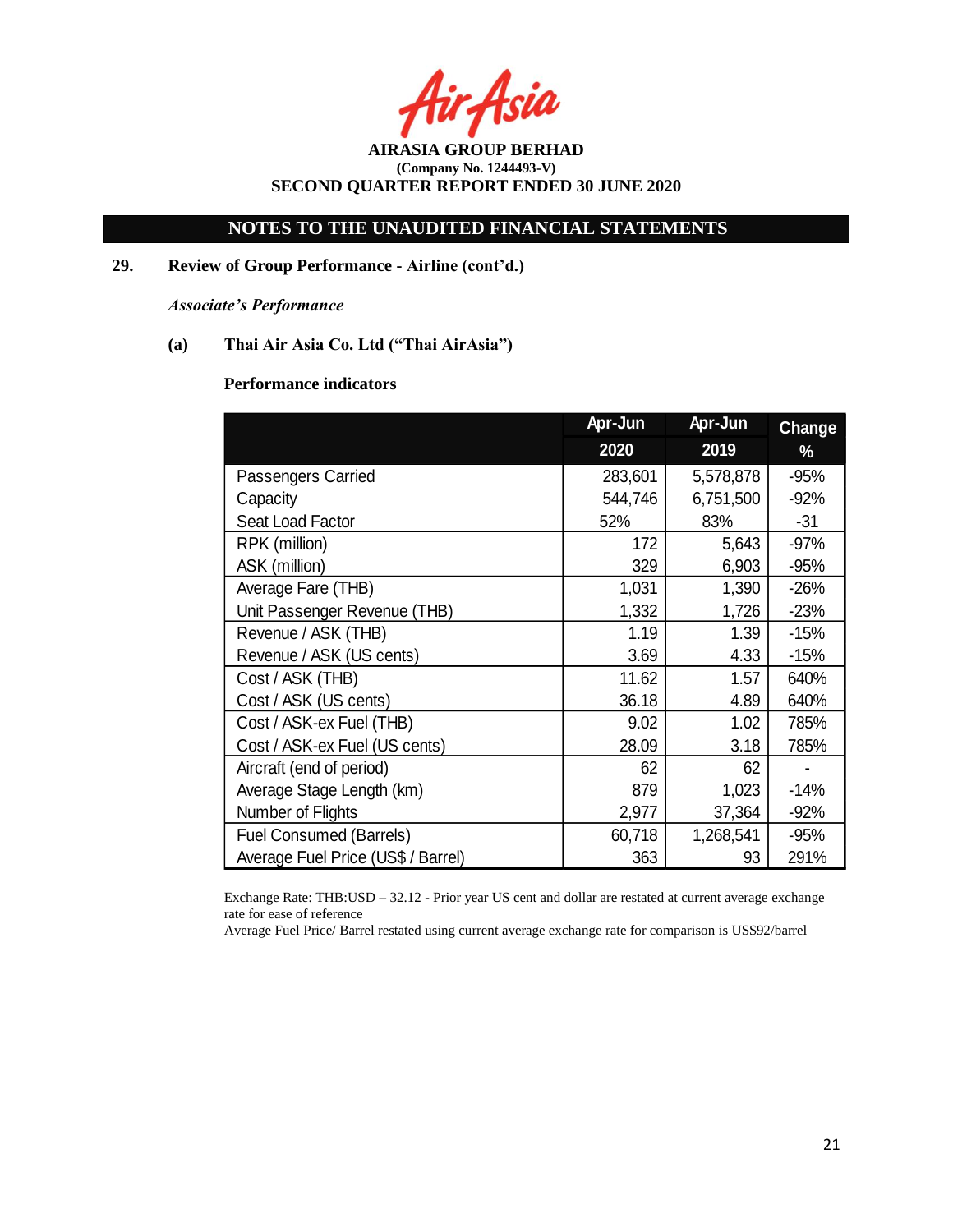Asia

**AIRASIA GROUP BERHAD (Company No. 1244493-V) SECOND QUARTER REPORT ENDED 30 JUNE 2020**

**29. Review of Group Performance - Airline (cont'd.)**

*Associate's Performance*

**(a) Thai Air Asia Co. Ltd ("Thai AirAsia")**

## **Performance indicators**

|                                    | Apr-Jun | Apr-Jun   | <b>Change</b> |
|------------------------------------|---------|-----------|---------------|
|                                    | 2020    | 2019      | %             |
| Passengers Carried                 | 283,601 | 5,578,878 | $-95%$        |
| Capacity                           | 544,746 | 6,751,500 | $-92%$        |
| Seat Load Factor                   | 52%     | 83%       | $-31$         |
| RPK (million)                      | 172     | 5,643     | $-97%$        |
| ASK (million)                      | 329     | 6,903     | $-95%$        |
| Average Fare (THB)                 | 1,031   | 1,390     | $-26%$        |
| Unit Passenger Revenue (THB)       | 1,332   | 1,726     | $-23%$        |
| Revenue / ASK (THB)                | 1.19    | 1.39      | $-15%$        |
| Revenue / ASK (US cents)           | 3.69    | 4.33      | $-15%$        |
| Cost / ASK (THB)                   | 11.62   | 1.57      | 640%          |
| Cost / ASK (US cents)              | 36.18   | 4.89      | 640%          |
| Cost / ASK-ex Fuel (THB)           | 9.02    | 1.02      | 785%          |
| Cost / ASK-ex Fuel (US cents)      | 28.09   | 3.18      | 785%          |
| Aircraft (end of period)           | 62      | 62        |               |
| Average Stage Length (km)          | 879     | 1,023     | $-14%$        |
| Number of Flights                  | 2,977   | 37,364    | $-92%$        |
| <b>Fuel Consumed (Barrels)</b>     | 60,718  | 1,268,541 | $-95%$        |
| Average Fuel Price (US\$ / Barrel) | 363     | 93        | 291%          |

Exchange Rate: THB:USD – 32.12 - Prior year US cent and dollar are restated at current average exchange rate for ease of reference

Average Fuel Price/ Barrel restated using current average exchange rate for comparison is US\$92/barrel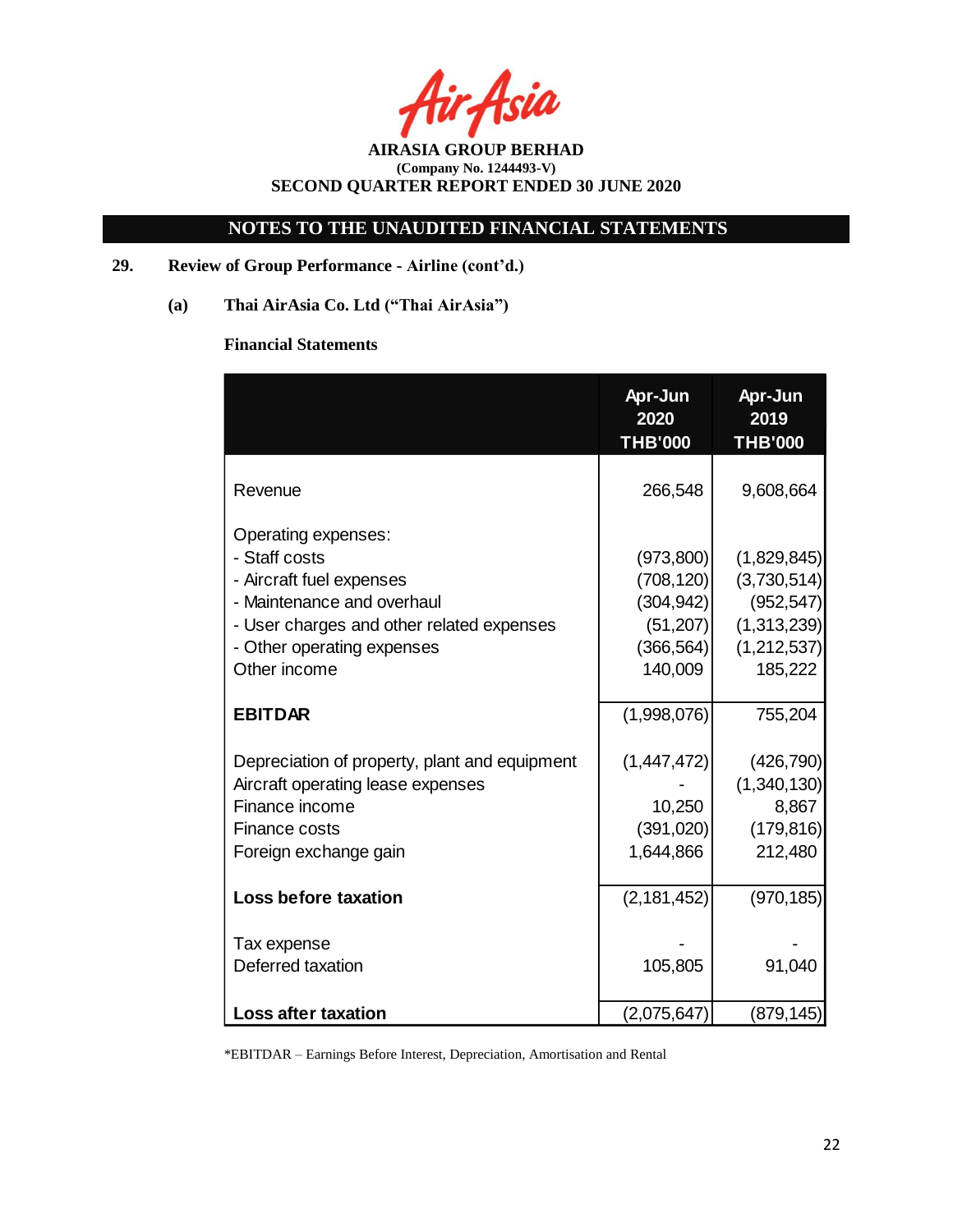Asia

# **NOTES TO THE UNAUDITED FINANCIAL STATEMENTS**

## **29. Review of Group Performance - Airline (cont'd.)**

**(a) Thai AirAsia Co. Ltd ("Thai AirAsia")**

## **Financial Statements**

|                                                                                                                                                                                           | Apr-Jun<br>2020<br><b>THB'000</b>                                           | Apr-Jun<br>2019<br><b>THB'000</b>                                                 |
|-------------------------------------------------------------------------------------------------------------------------------------------------------------------------------------------|-----------------------------------------------------------------------------|-----------------------------------------------------------------------------------|
| Revenue                                                                                                                                                                                   | 266,548                                                                     | 9,608,664                                                                         |
| Operating expenses:<br>- Staff costs<br>- Aircraft fuel expenses<br>- Maintenance and overhaul<br>- User charges and other related expenses<br>- Other operating expenses<br>Other income | (973,800)<br>(708, 120)<br>(304, 942)<br>(51, 207)<br>(366, 564)<br>140,009 | (1,829,845)<br>(3,730,514)<br>(952, 547)<br>(1,313,239)<br>(1,212,537)<br>185,222 |
| <b>EBITDAR</b>                                                                                                                                                                            | (1,998,076)                                                                 | 755,204                                                                           |
| Depreciation of property, plant and equipment<br>Aircraft operating lease expenses<br>Finance income<br><b>Finance costs</b><br>Foreign exchange gain                                     | (1,447,472)<br>10,250<br>(391, 020)<br>1,644,866                            | (426, 790)<br>(1,340,130)<br>8,867<br>(179, 816)<br>212,480                       |
| <b>Loss before taxation</b>                                                                                                                                                               | (2, 181, 452)                                                               | (970, 185)                                                                        |
| Tax expense<br>Deferred taxation                                                                                                                                                          | 105,805                                                                     | 91,040                                                                            |
| <b>Loss after taxation</b>                                                                                                                                                                | (2,075,647)                                                                 | (879, 145)                                                                        |

\*EBITDAR – Earnings Before Interest, Depreciation, Amortisation and Rental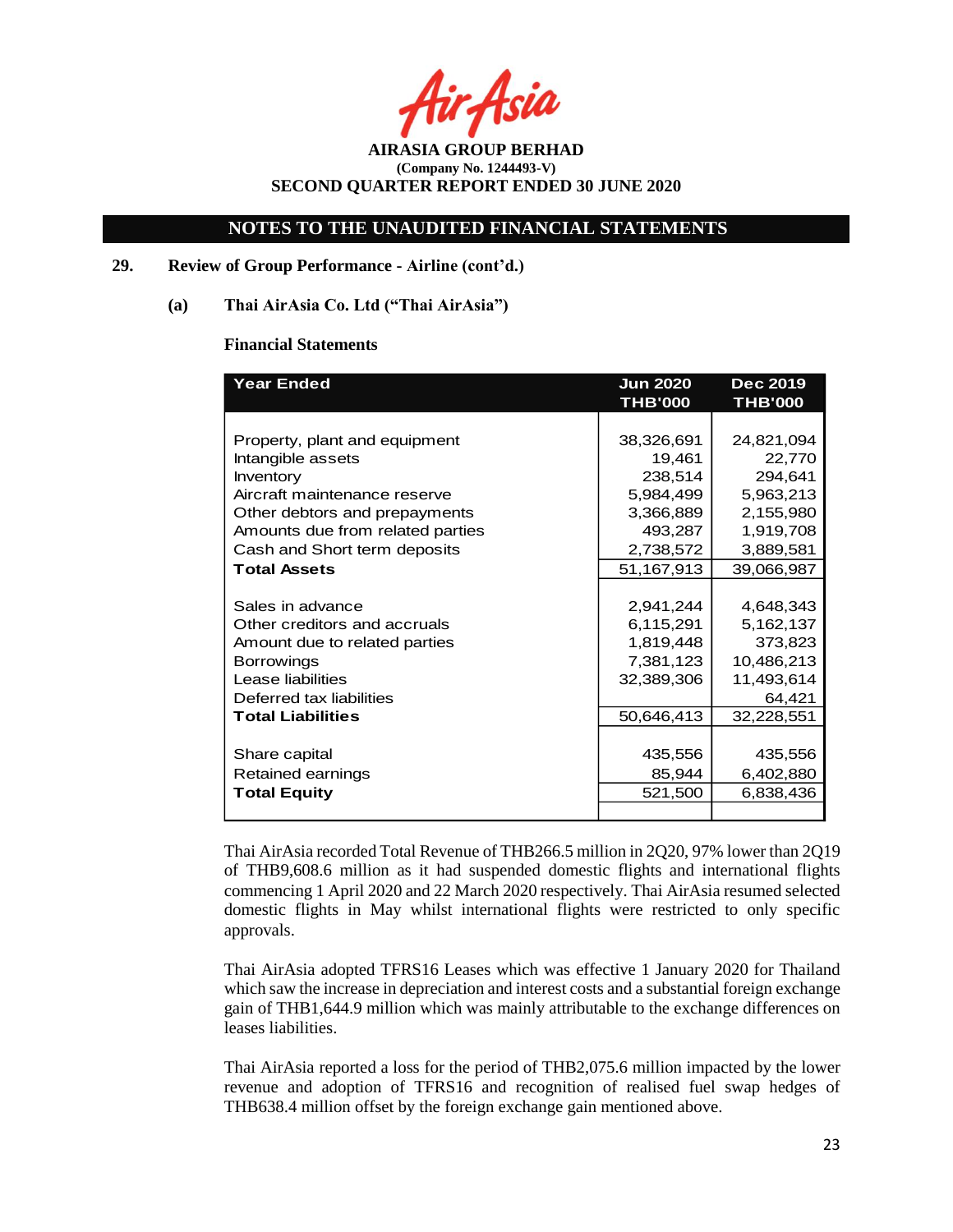Asil

## **NOTES TO THE UNAUDITED FINANCIAL STATEMENTS**

## **29. Review of Group Performance - Airline (cont'd.)**

### **(a) Thai AirAsia Co. Ltd ("Thai AirAsia")**

### **Financial Statements**

| <b>Year Ended</b>                | <b>Jun 2020</b> | <b>Dec 2019</b> |  |
|----------------------------------|-----------------|-----------------|--|
|                                  | <b>THB'000</b>  | <b>THB'000</b>  |  |
|                                  |                 |                 |  |
| Property, plant and equipment    | 38,326,691      | 24,821,094      |  |
| Intangible assets                | 19,461          | 22,770          |  |
| <b>Inventory</b>                 | 238,514         | 294,641         |  |
| Aircraft maintenance reserve     | 5,984,499       | 5,963,213       |  |
| Other debtors and prepayments    | 3,366,889       | 2,155,980       |  |
| Amounts due from related parties | 493,287         | 1,919,708       |  |
| Cash and Short term deposits     | 2,738,572       | 3,889,581       |  |
| <b>Total Assets</b>              | 51,167,913      | 39,066,987      |  |
|                                  |                 |                 |  |
| Sales in advance                 | 2,941,244       | 4,648,343       |  |
| Other creditors and accruals     | 6,115,291       | 5,162,137       |  |
| Amount due to related parties    | 1,819,448       | 373,823         |  |
| <b>Borrowings</b>                | 7,381,123       | 10,486,213      |  |
| Lease liabilities                | 32,389,306      | 11,493,614      |  |
| Deferred tax liabilities         |                 | 64,421          |  |
| <b>Total Liabilities</b>         | 50,646,413      | 32,228,551      |  |
|                                  |                 |                 |  |
| Share capital                    | 435,556         | 435,556         |  |
| Retained earnings                | 85,944          | 6,402,880       |  |
| <b>Total Equity</b>              | 521,500         | 6,838,436       |  |
|                                  |                 |                 |  |

Thai AirAsia recorded Total Revenue of THB266.5 million in 2Q20, 97% lower than 2Q19 of THB9,608.6 million as it had suspended domestic flights and international flights commencing 1 April 2020 and 22 March 2020 respectively. Thai AirAsia resumed selected domestic flights in May whilst international flights were restricted to only specific approvals.

Thai AirAsia adopted TFRS16 Leases which was effective 1 January 2020 for Thailand which saw the increase in depreciation and interest costs and a substantial foreign exchange gain of THB1,644.9 million which was mainly attributable to the exchange differences on leases liabilities.

Thai AirAsia reported a loss for the period of THB2,075.6 million impacted by the lower revenue and adoption of TFRS16 and recognition of realised fuel swap hedges of THB638.4 million offset by the foreign exchange gain mentioned above.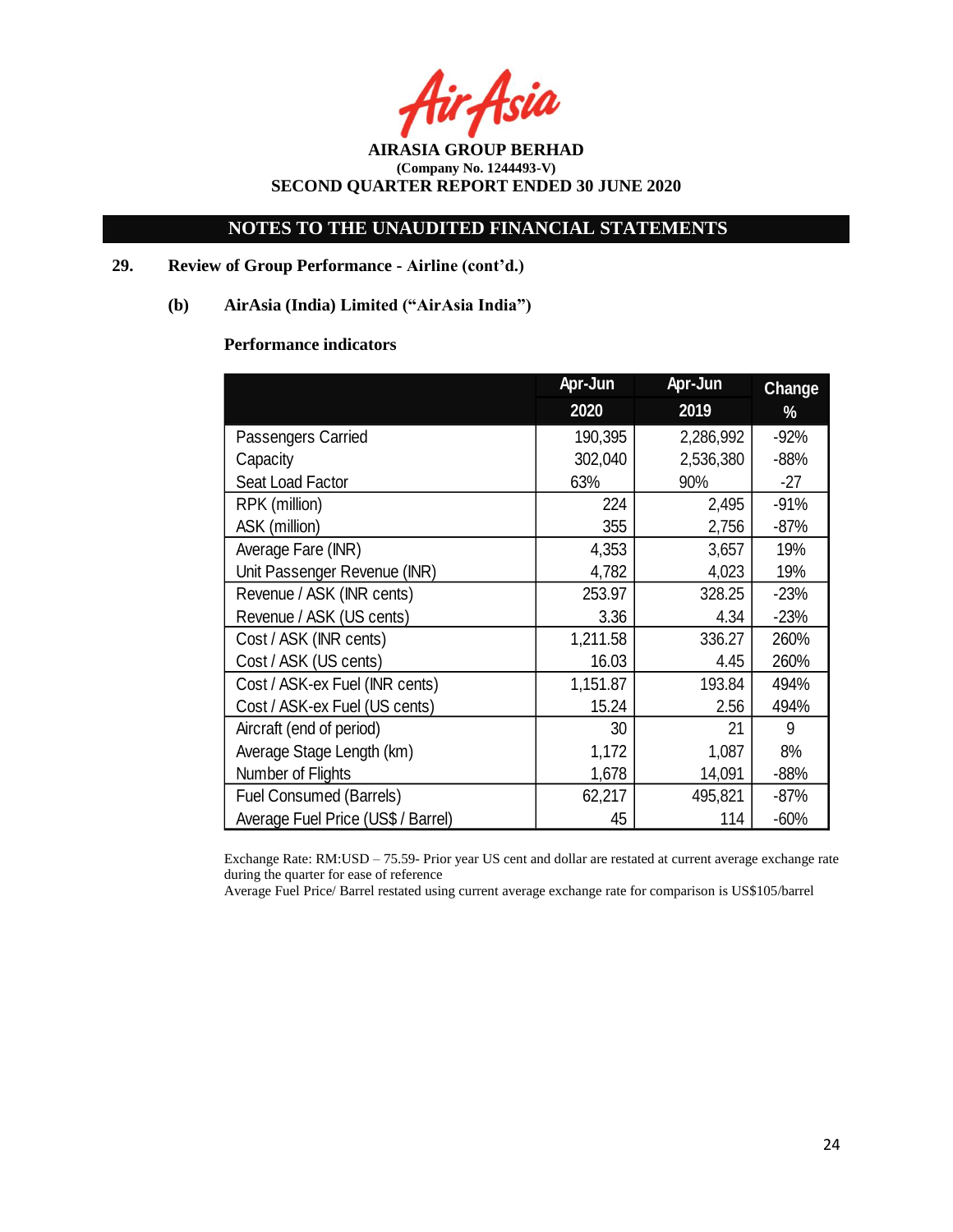Asia

**AIRASIA GROUP BERHAD (Company No. 1244493-V) SECOND QUARTER REPORT ENDED 30 JUNE 2020**

## **29. Review of Group Performance - Airline (cont'd.)**

## **(b) AirAsia (India) Limited ("AirAsia India")**

## **Performance indicators**

|                                    | Apr-Jun  | Apr-Jun   | <b>Change</b> |
|------------------------------------|----------|-----------|---------------|
|                                    | 2020     | 2019      | %             |
| Passengers Carried                 | 190,395  | 2,286,992 | $-92%$        |
| Capacity                           | 302,040  | 2,536,380 | $-88%$        |
| Seat Load Factor                   | 63%      | 90%       | $-27$         |
| RPK (million)                      | 224      | 2,495     | $-91%$        |
| ASK (million)                      | 355      | 2,756     | $-87%$        |
| Average Fare (INR)                 | 4,353    | 3,657     | 19%           |
| Unit Passenger Revenue (INR)       | 4,782    | 4,023     | 19%           |
| Revenue / ASK (INR cents)          | 253.97   | 328.25    | $-23%$        |
| Revenue / ASK (US cents)           | 3.36     | 4.34      | $-23%$        |
| Cost / ASK (INR cents)             | 1,211.58 | 336.27    | 260%          |
| Cost / ASK (US cents)              | 16.03    | 4.45      | 260%          |
| Cost / ASK-ex Fuel (INR cents)     | 1,151.87 | 193.84    | 494%          |
| Cost / ASK-ex Fuel (US cents)      | 15.24    | 2.56      | 494%          |
| Aircraft (end of period)           | 30       | 21        | 9             |
| Average Stage Length (km)          | 1,172    | 1,087     | 8%            |
| Number of Flights                  | 1,678    | 14,091    | $-88%$        |
| <b>Fuel Consumed (Barrels)</b>     | 62,217   | 495,821   | $-87%$        |
| Average Fuel Price (US\$ / Barrel) | 45       | 114       | $-60%$        |

Exchange Rate: RM:USD – 75.59- Prior year US cent and dollar are restated at current average exchange rate during the quarter for ease of reference

Average Fuel Price/ Barrel restated using current average exchange rate for comparison is US\$105/barrel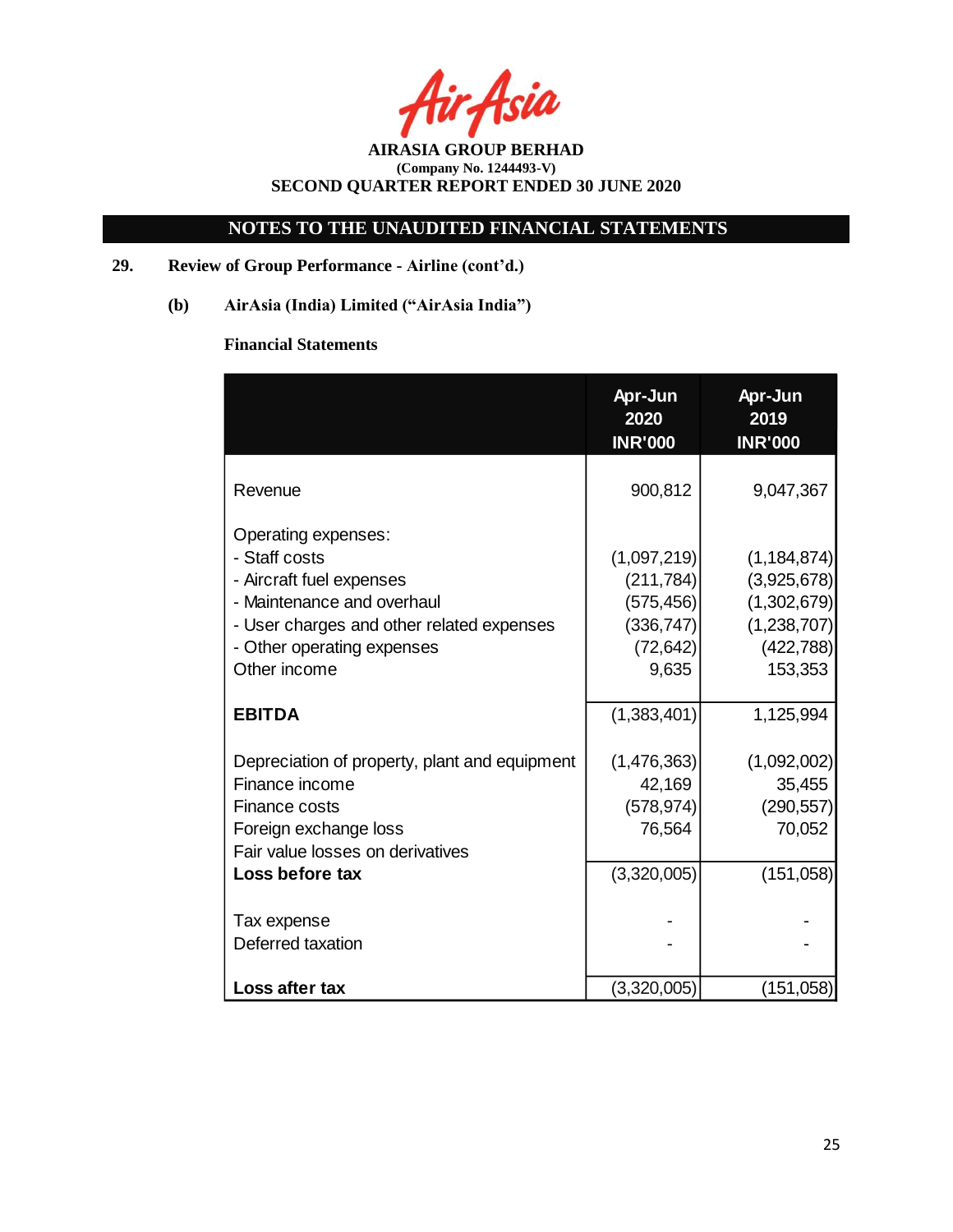**AIRASIA GROUP BERHAD (Company No. 1244493-V) SECOND QUARTER REPORT ENDED 30 JUNE 2020**

# **29. Review of Group Performance - Airline (cont'd.)**

**(b) AirAsia (India) Limited ("AirAsia India")**

# **Financial Statements**

|                                                                                                                                                                                           | Apr-Jun<br>2020<br><b>INR'000</b>                                           | Apr-Jun<br>2019<br><b>INR'000</b>                                                   |
|-------------------------------------------------------------------------------------------------------------------------------------------------------------------------------------------|-----------------------------------------------------------------------------|-------------------------------------------------------------------------------------|
| Revenue                                                                                                                                                                                   | 900,812                                                                     | 9,047,367                                                                           |
| Operating expenses:<br>- Staff costs<br>- Aircraft fuel expenses<br>- Maintenance and overhaul<br>- User charges and other related expenses<br>- Other operating expenses<br>Other income | (1,097,219)<br>(211, 784)<br>(575, 456)<br>(336, 747)<br>(72, 642)<br>9,635 | (1, 184, 874)<br>(3,925,678)<br>(1,302,679)<br>(1,238,707)<br>(422, 788)<br>153,353 |
| <b>EBITDA</b>                                                                                                                                                                             | (1,383,401)                                                                 | 1,125,994                                                                           |
| Depreciation of property, plant and equipment<br>Finance income<br>Finance costs<br>Foreign exchange loss<br>Fair value losses on derivatives                                             | (1,476,363)<br>42,169<br>(578, 974)<br>76,564                               | (1,092,002)<br>35,455<br>(290, 557)<br>70,052                                       |
| Loss before tax                                                                                                                                                                           | (3,320,005)                                                                 | (151, 058)                                                                          |
| Tax expense<br>Deferred taxation                                                                                                                                                          |                                                                             |                                                                                     |
| Loss after tax                                                                                                                                                                            | (3,320,005)                                                                 | (151,058)                                                                           |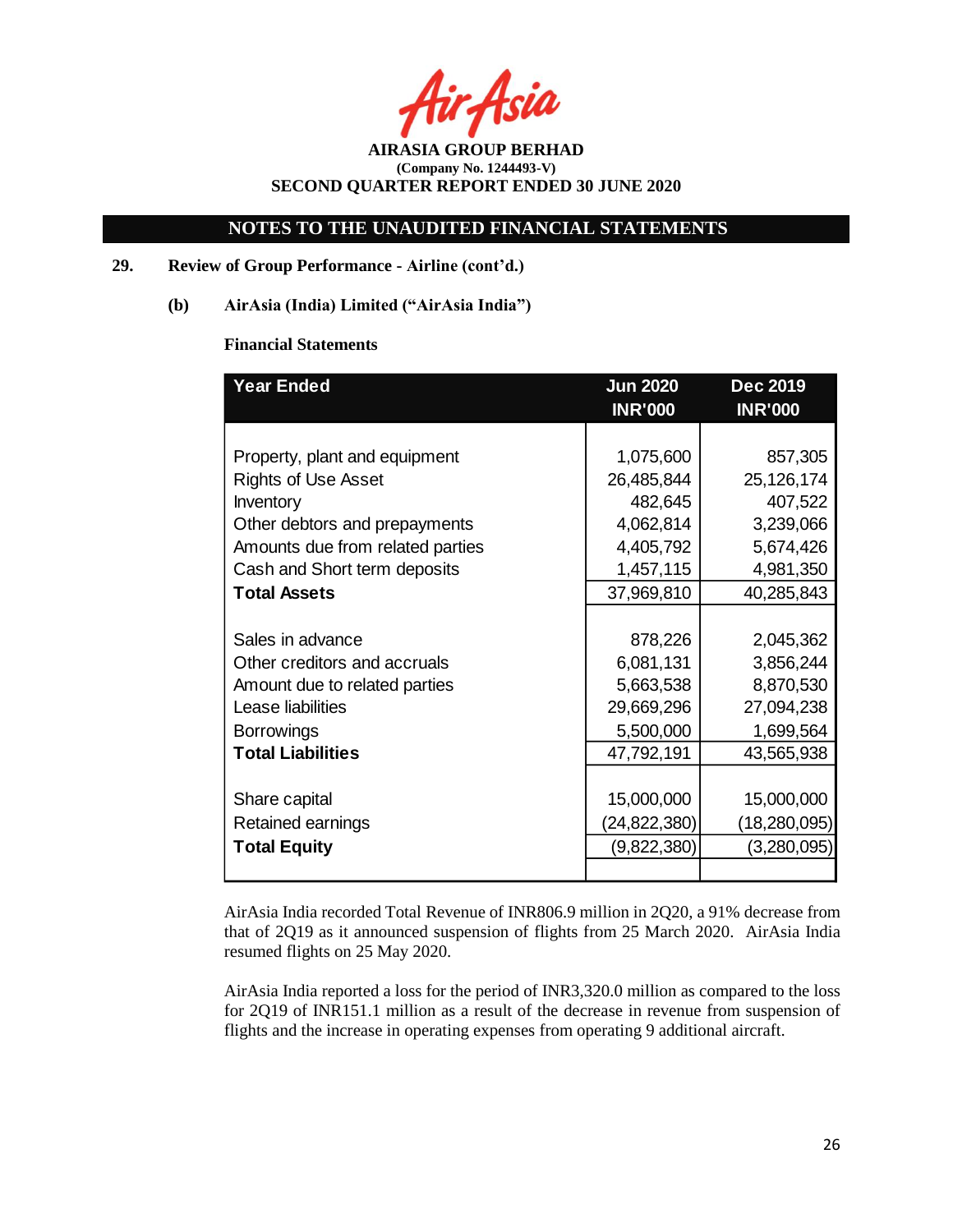Asia

**AIRASIA GROUP BERHAD (Company No. 1244493-V) SECOND QUARTER REPORT ENDED 30 JUNE 2020**

## **29. Review of Group Performance - Airline (cont'd.)**

**(b) AirAsia (India) Limited ("AirAsia India")**

### **Financial Statements**

| <b>Year Ended</b>                | <u>Jun 2020</u> | <b>Dec 2019</b> |  |
|----------------------------------|-----------------|-----------------|--|
|                                  | <b>INR'000</b>  | <b>INR'000</b>  |  |
|                                  |                 |                 |  |
| Property, plant and equipment    | 1,075,600       | 857,305         |  |
| <b>Rights of Use Asset</b>       | 26,485,844      | 25,126,174      |  |
| <b>Inventory</b>                 | 482,645         | 407,522         |  |
| Other debtors and prepayments    | 4,062,814       | 3,239,066       |  |
| Amounts due from related parties | 4,405,792       | 5,674,426       |  |
| Cash and Short term deposits     | 1,457,115       | 4,981,350       |  |
| <b>Total Assets</b>              | 37,969,810      | 40,285,843      |  |
|                                  |                 |                 |  |
| Sales in advance                 | 878,226         | 2,045,362       |  |
| Other creditors and accruals     | 6,081,131       | 3,856,244       |  |
| Amount due to related parties    | 5,663,538       | 8,870,530       |  |
| Lease liabilities                | 29,669,296      | 27,094,238      |  |
| <b>Borrowings</b>                | 5,500,000       | 1,699,564       |  |
| <b>Total Liabilities</b>         | 47,792,191      | 43,565,938      |  |
|                                  |                 |                 |  |
| Share capital                    | 15,000,000      | 15,000,000      |  |
| Retained earnings                | (24,822,380)    | (18,280,095)    |  |
| <b>Total Equity</b>              | (9,822,380)     | (3,280,095)     |  |
|                                  |                 |                 |  |

AirAsia India recorded Total Revenue of INR806.9 million in 2Q20, a 91% decrease from that of 2Q19 as it announced suspension of flights from 25 March 2020. AirAsia India resumed flights on 25 May 2020.

AirAsia India reported a loss for the period of INR3,320.0 million as compared to the loss for 2Q19 of INR151.1 million as a result of the decrease in revenue from suspension of flights and the increase in operating expenses from operating 9 additional aircraft.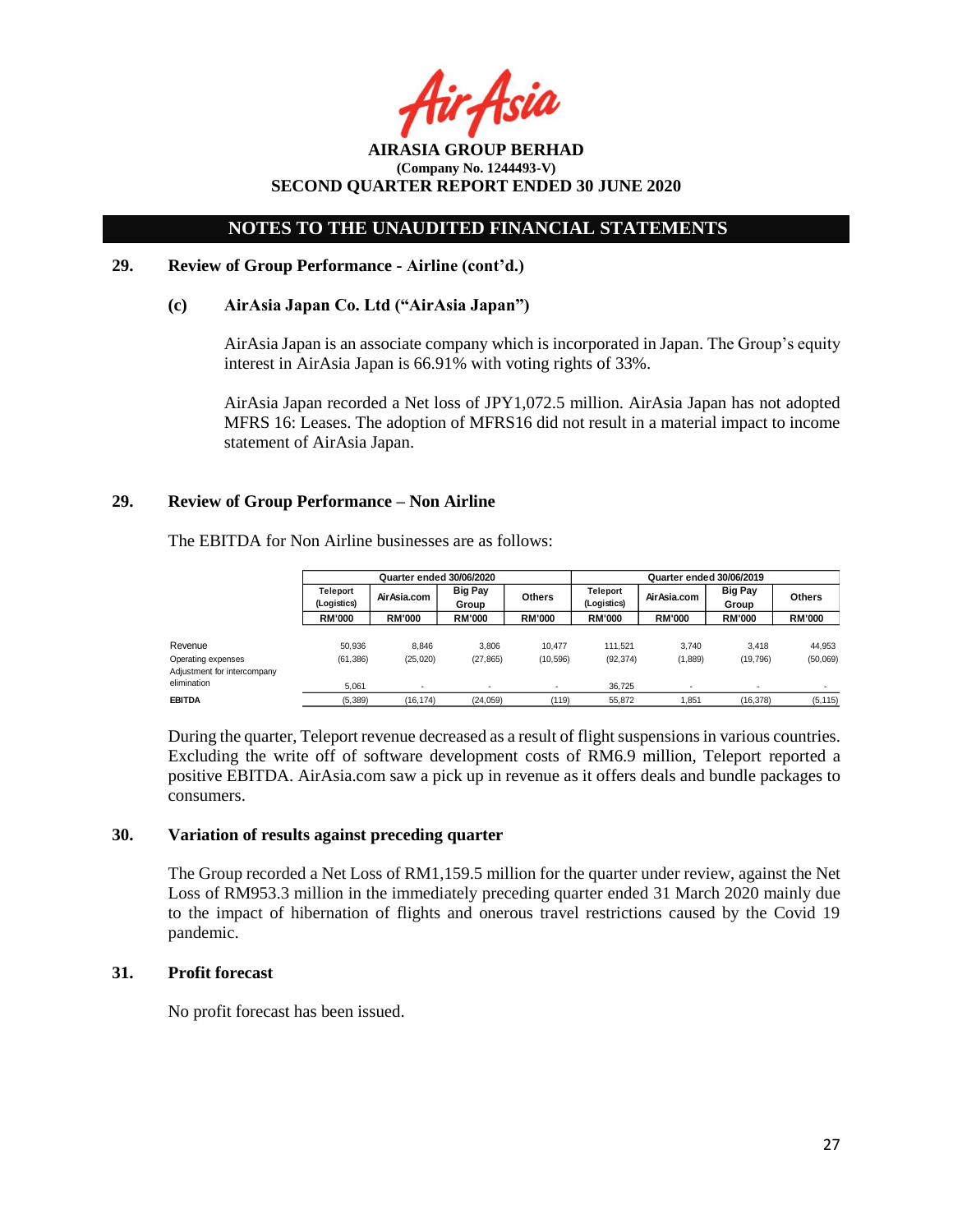: Asil

**AIRASIA GROUP BERHAD (Company No. 1244493-V) SECOND QUARTER REPORT ENDED 30 JUNE 2020**

### **29. Review of Group Performance - Airline (cont'd.)**

### **(c) AirAsia Japan Co. Ltd ("AirAsia Japan")**

AirAsia Japan is an associate company which is incorporated in Japan. The Group's equity interest in AirAsia Japan is 66.91% with voting rights of 33%.

AirAsia Japan recorded a Net loss of JPY1,072.5 million. AirAsia Japan has not adopted MFRS 16: Leases. The adoption of MFRS16 did not result in a material impact to income statement of AirAsia Japan.

### **29. Review of Group Performance – Non Airline**

The EBITDA for Non Airline businesses are as follows:

|                                                   | Quarter ended 30/06/2020 |                          |                          |               | Quarter ended 30/06/2019       |               |                         |               |
|---------------------------------------------------|--------------------------|--------------------------|--------------------------|---------------|--------------------------------|---------------|-------------------------|---------------|
|                                                   | Teleport<br>(Logistics)  | Air Asia.com             | <b>Big Pay</b><br>Group  | <b>Others</b> | <b>Teleport</b><br>(Logistics) | AirAsia.com   | <b>Big Pay</b><br>Group | <b>Others</b> |
|                                                   | <b>RM'000</b>            | <b>RM'000</b>            | <b>RM'000</b>            | <b>RM'000</b> | <b>RM'000</b>                  | <b>RM'000</b> | <b>RM'000</b>           | <b>RM'000</b> |
| Revenue                                           | 50.936                   | 8.846                    | 3.806                    | 10.477        | 111.521                        | 3.740         | 3.418                   | 44,953        |
| Operating expenses<br>Adjustment for intercompany | (61, 386)                | (25,020)                 | (27, 865)                | (10, 596)     | (92, 374)                      | (1,889)       | (19, 796)               | (50,069)      |
| elimination                                       | 5.061                    | $\overline{\phantom{a}}$ | $\overline{\phantom{a}}$ |               | 36.725                         |               |                         |               |
| <b>EBITDA</b>                                     | (5, 389)                 | (16, 174)                | (24, 059)                | (119)         | 55.872                         | 1,851         | (16, 378)               | (5, 115)      |

During the quarter, Teleport revenue decreased as a result of flight suspensionsin various countries. Excluding the write off of software development costs of RM6.9 million, Teleport reported a positive EBITDA. AirAsia.com saw a pick up in revenue as it offers deals and bundle packages to consumers.

### **30. Variation of results against preceding quarter**

The Group recorded a Net Loss of RM1,159.5 million for the quarter under review, against the Net Loss of RM953.3 million in the immediately preceding quarter ended 31 March 2020 mainly due to the impact of hibernation of flights and onerous travel restrictions caused by the Covid 19 pandemic.

### **31. Profit forecast**

No profit forecast has been issued.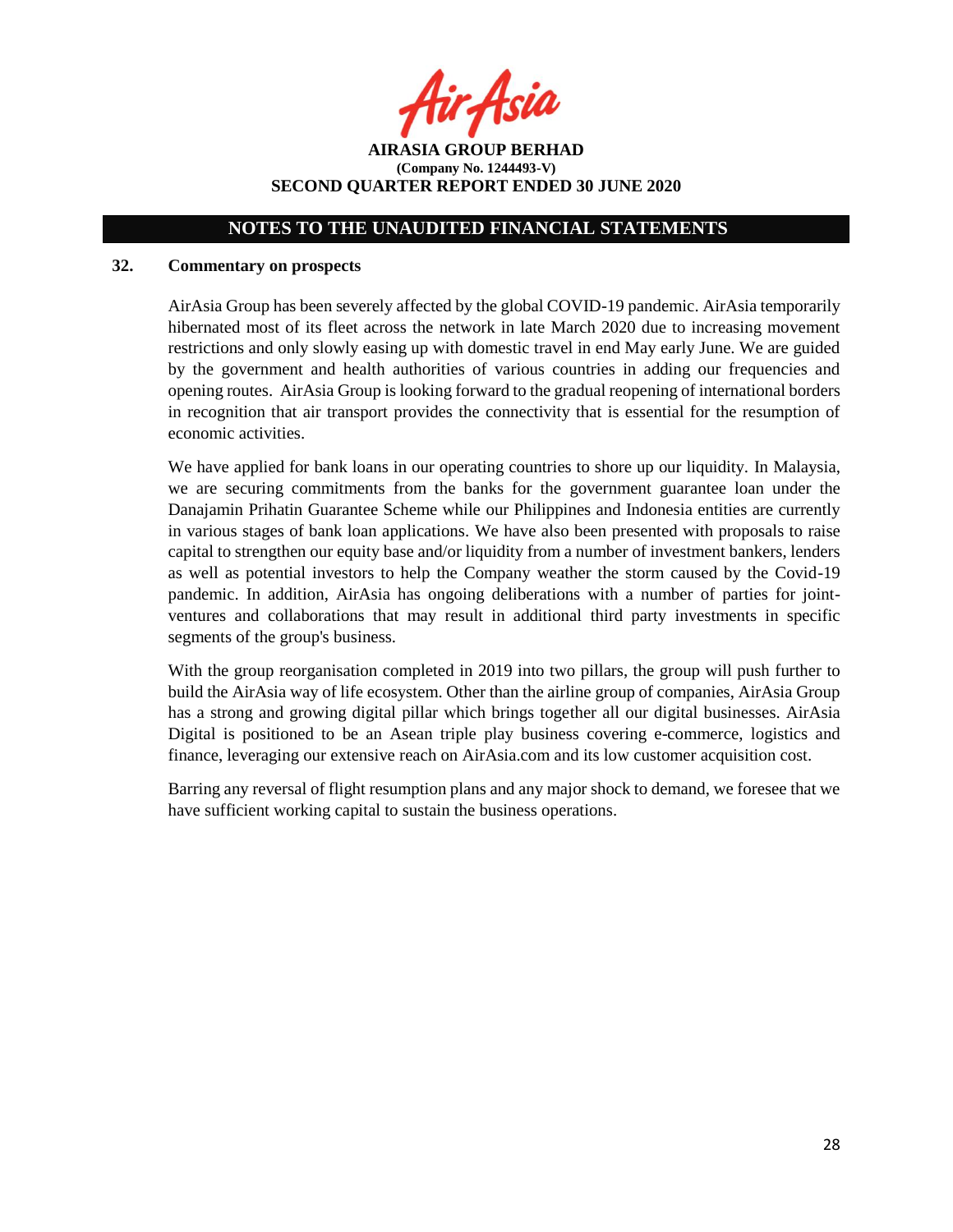· Asia

**AIRASIA GROUP BERHAD (Company No. 1244493-V) SECOND QUARTER REPORT ENDED 30 JUNE 2020**

## **32. Commentary on prospects**

AirAsia Group has been severely affected by the global COVID-19 pandemic. AirAsia temporarily hibernated most of its fleet across the network in late March 2020 due to increasing movement restrictions and only slowly easing up with domestic travel in end May early June. We are guided by the government and health authorities of various countries in adding our frequencies and opening routes. AirAsia Group is looking forward to the gradual reopening of international borders in recognition that air transport provides the connectivity that is essential for the resumption of economic activities.

We have applied for bank loans in our operating countries to shore up our liquidity. In Malaysia, we are securing commitments from the banks for the government guarantee loan under the Danajamin Prihatin Guarantee Scheme while our Philippines and Indonesia entities are currently in various stages of bank loan applications. We have also been presented with proposals to raise capital to strengthen our equity base and/or liquidity from a number of investment bankers, lenders as well as potential investors to help the Company weather the storm caused by the Covid-19 pandemic. In addition, AirAsia has ongoing deliberations with a number of parties for jointventures and collaborations that may result in additional third party investments in specific segments of the group's business.

With the group reorganisation completed in 2019 into two pillars, the group will push further to build the AirAsia way of life ecosystem. Other than the airline group of companies, AirAsia Group has a strong and growing digital pillar which brings together all our digital businesses. AirAsia Digital is positioned to be an Asean triple play business covering e-commerce, logistics and finance, leveraging our extensive reach on AirAsia.com and its low customer acquisition cost.

Barring any reversal of flight resumption plans and any major shock to demand, we foresee that we have sufficient working capital to sustain the business operations.